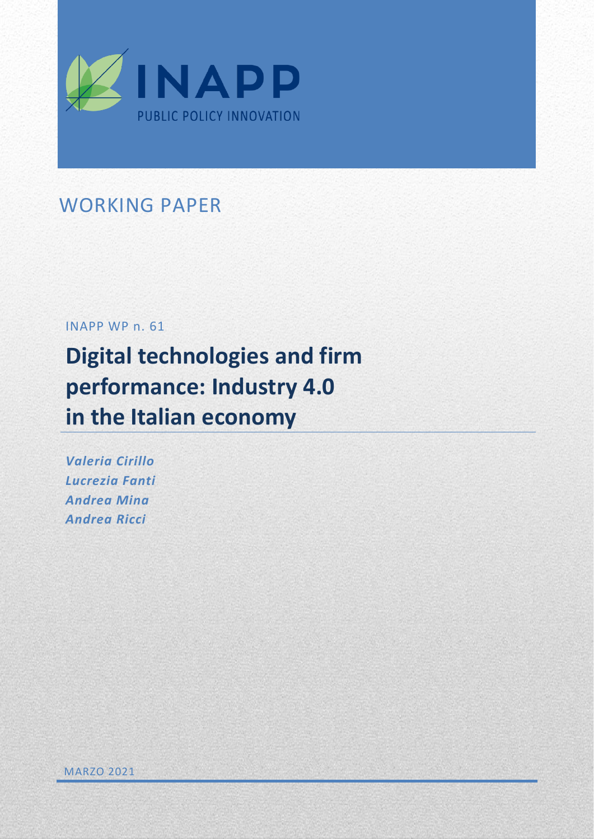

## WORKING PAPER

## INAPP WP n. 61

# **Digital technologies and firm performance: Industry 4.0 in the Italian economy**

*Valeria Cirillo Lucrezia Fanti Andrea Mina Andrea Ricci*

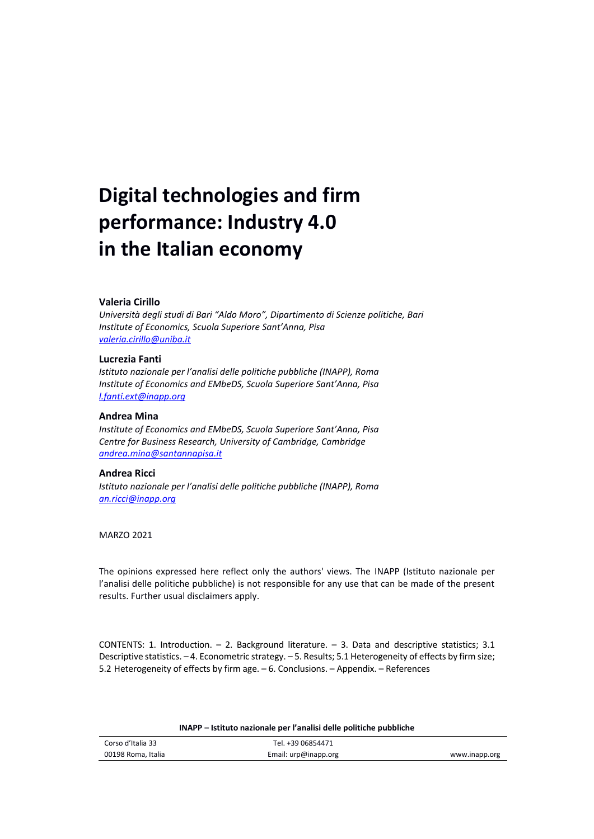# **Digital technologies and firm performance: Industry 4.0 in the Italian economy**

#### **Valeria Cirillo**

*Università degli studi di Bari "Aldo Moro", Dipartimento di Scienze politiche, Bari Institute of Economics, Scuola Superiore Sant'Anna, Pisa [valeria.cirillo@uniba.it](mailto:valeria.cirillo@uniba.it)*

#### **Lucrezia Fanti**

*Istituto nazionale per l'analisi delle politiche pubbliche (INAPP), Roma Institute of Economics and EMbeDS, Scuola Superiore Sant'Anna, Pisa [l.fanti.ext@inapp.org](mailto:l.fanti.ext@inapp.org)*

#### **Andrea Mina**

*Institute of Economics and EMbeDS, Scuola Superiore Sant'Anna, Pisa Centre for Business Research, University of Cambridge, Cambridge [andrea.mina@santannapisa.it](mailto:andrea.mina@santannapisa.it)*

### **Andrea Ricci**

*Istituto nazionale per l'analisi delle politiche pubbliche (INAPP), Roma [an.ricci@inapp.org](mailto:an.ricci@inapp.org)*

MARZO 2021

The opinions expressed here reflect only the authors' views. The INAPP (Istituto nazionale per l'analisi delle politiche pubbliche) is not responsible for any use that can be made of the present results. Further usual disclaimers apply.

CONTENTS: 1. Introduction.  $- 2$ . Background literature.  $- 3$ . Data and descriptive statistics; 3.1 Descriptive statistics. – 4. Econometric strategy. – 5. Results; 5.1 Heterogeneity of effects by firm size; 5.2 Heterogeneity of effects by firm age. – 6. Conclusions. – Appendix. – References

| Corso d'Italia 33  | Tel. +39 06854471    |               |
|--------------------|----------------------|---------------|
| 00198 Roma, Italia | Email: urp@inapp.org | www.inapp.org |

#### **INAPP – Istituto nazionale per l'analisi delle politiche pubbliche**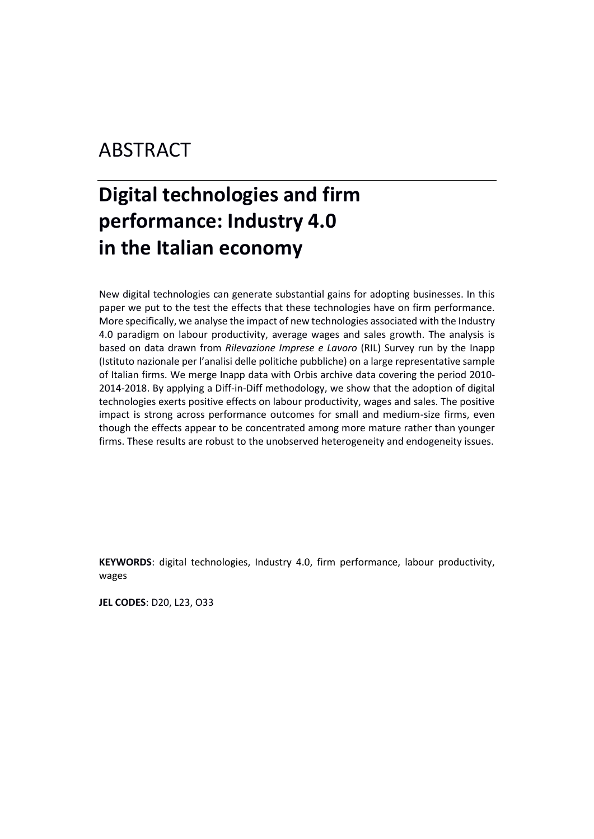## ABSTRACT

# **Digital technologies and firm performance: Industry 4.0 in the Italian economy**

New digital technologies can generate substantial gains for adopting businesses. In this paper we put to the test the effects that these technologies have on firm performance. More specifically, we analyse the impact of new technologies associated with the Industry 4.0 paradigm on labour productivity, average wages and sales growth. The analysis is based on data drawn from *Rilevazione Imprese e Lavoro* (RIL) Survey run by the Inapp (Istituto nazionale per l'analisi delle politiche pubbliche) on a large representative sample of Italian firms. We merge Inapp data with Orbis archive data covering the period 2010- 2014-2018. By applying a Diff-in-Diff methodology, we show that the adoption of digital technologies exerts positive effects on labour productivity, wages and sales. The positive impact is strong across performance outcomes for small and medium-size firms, even though the effects appear to be concentrated among more mature rather than younger firms. These results are robust to the unobserved heterogeneity and endogeneity issues.

**KEYWORDS**: digital technologies, Industry 4.0, firm performance, labour productivity, wages

**JEL CODES**: D20, L23, O33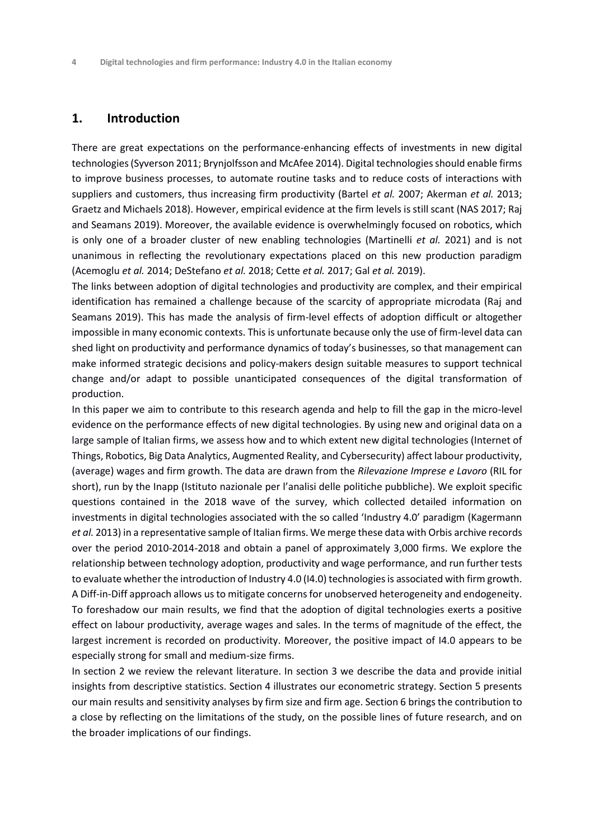## **1. Introduction**

There are great expectations on the performance-enhancing effects of investments in new digital technologies (Syverson 2011; Brynjolfsson and McAfee 2014). Digital technologies should enable firms to improve business processes, to automate routine tasks and to reduce costs of interactions with suppliers and customers, thus increasing firm productivity (Bartel *et al.* 2007; Akerman *et al.* 2013; Graetz and Michaels 2018). However, empirical evidence at the firm levels is still scant (NAS 2017; Raj and Seamans 2019). Moreover, the available evidence is overwhelmingly focused on robotics, which is only one of a broader cluster of new enabling technologies (Martinelli *et al.* 2021) and is not unanimous in reflecting the revolutionary expectations placed on this new production paradigm (Acemoglu *et al.* 2014; DeStefano *et al.* 2018; Cette *et al.* 2017; Gal *et al.* 2019).

The links between adoption of digital technologies and productivity are complex, and their empirical identification has remained a challenge because of the scarcity of appropriate microdata (Raj and Seamans 2019). This has made the analysis of firm-level effects of adoption difficult or altogether impossible in many economic contexts. This is unfortunate because only the use of firm-level data can shed light on productivity and performance dynamics of today's businesses, so that management can make informed strategic decisions and policy-makers design suitable measures to support technical change and/or adapt to possible unanticipated consequences of the digital transformation of production.

In this paper we aim to contribute to this research agenda and help to fill the gap in the micro-level evidence on the performance effects of new digital technologies. By using new and original data on a large sample of Italian firms, we assess how and to which extent new digital technologies (Internet of Things, Robotics, Big Data Analytics, Augmented Reality, and Cybersecurity) affect labour productivity, (average) wages and firm growth. The data are drawn from the *Rilevazione Imprese e Lavoro* (RIL for short), run by the Inapp (Istituto nazionale per l'analisi delle politiche pubbliche). We exploit specific questions contained in the 2018 wave of the survey, which collected detailed information on investments in digital technologies associated with the so called 'Industry 4.0' paradigm (Kagermann *et al.* 2013) in a representative sample of Italian firms. We merge these data with Orbis archive records over the period 2010-2014-2018 and obtain a panel of approximately 3,000 firms. We explore the relationship between technology adoption, productivity and wage performance, and run further tests to evaluate whether the introduction of Industry 4.0 (I4.0) technologies is associated with firm growth. A Diff-in-Diff approach allows us to mitigate concerns for unobserved heterogeneity and endogeneity. To foreshadow our main results, we find that the adoption of digital technologies exerts a positive effect on labour productivity, average wages and sales. In the terms of magnitude of the effect, the largest increment is recorded on productivity. Moreover, the positive impact of I4.0 appears to be especially strong for small and medium-size firms.

In section 2 we review the relevant literature. In section 3 we describe the data and provide initial insights from descriptive statistics. Section 4 illustrates our econometric strategy. Section 5 presents our main results and sensitivity analyses by firm size and firm age. Section 6 brings the contribution to a close by reflecting on the limitations of the study, on the possible lines of future research, and on the broader implications of our findings.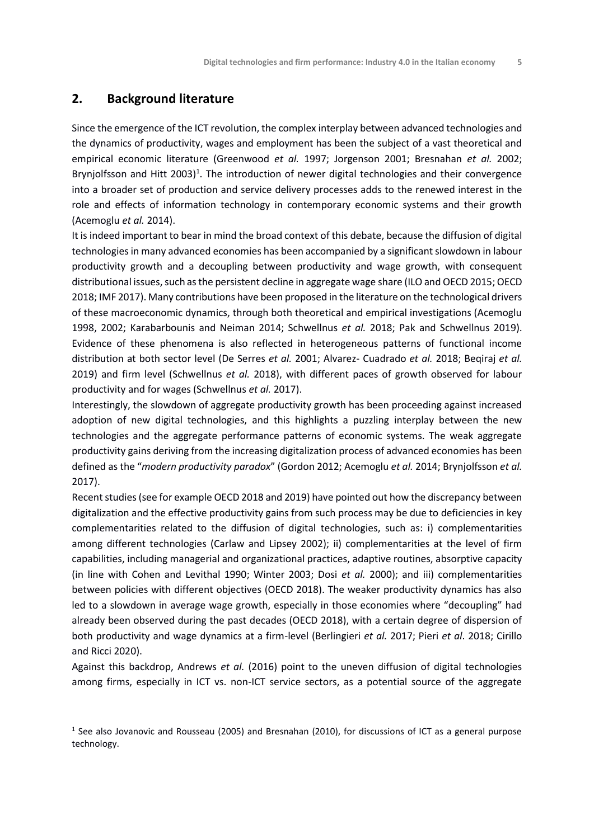## **2. Background literature**

Since the emergence of the ICT revolution, the complex interplay between advanced technologies and the dynamics of productivity, wages and employment has been the subject of a vast theoretical and empirical economic literature (Greenwood *et al.* 1997; Jorgenson 2001; Bresnahan *et al.* 2002; Brynjolfsson and Hitt 2003)<sup>1</sup>. The introduction of newer digital technologies and their convergence into a broader set of production and service delivery processes adds to the renewed interest in the role and effects of information technology in contemporary economic systems and their growth (Acemoglu *et al.* 2014).

It is indeed important to bear in mind the broad context of this debate, because the diffusion of digital technologies in many advanced economies has been accompanied by a significant slowdown in labour productivity growth and a decoupling between productivity and wage growth, with consequent distributional issues, such as the persistent decline in aggregate wage share (ILO and OECD 2015; OECD 2018; IMF 2017). Many contributions have been proposed in the literature on the technological drivers of these macroeconomic dynamics, through both theoretical and empirical investigations (Acemoglu 1998, 2002; Karabarbounis and Neiman 2014; Schwellnus *et al.* 2018; Pak and Schwellnus 2019). Evidence of these phenomena is also reflected in heterogeneous patterns of functional income distribution at both sector level (De Serres *et al.* 2001; Alvarez- Cuadrado *et al.* 2018; Beqiraj *et al.* 2019) and firm level (Schwellnus *et al.* 2018), with different paces of growth observed for labour productivity and for wages (Schwellnus *et al.* 2017).

Interestingly, the slowdown of aggregate productivity growth has been proceeding against increased adoption of new digital technologies, and this highlights a puzzling interplay between the new technologies and the aggregate performance patterns of economic systems. The weak aggregate productivity gains deriving from the increasing digitalization process of advanced economies has been defined as the "*modern productivity paradox*" (Gordon 2012; Acemoglu *et al.* 2014; Brynjolfsson *et al.* 2017).

Recent studies (see for example OECD 2018 and 2019) have pointed out how the discrepancy between digitalization and the effective productivity gains from such process may be due to deficiencies in key complementarities related to the diffusion of digital technologies, such as: i) complementarities among different technologies (Carlaw and Lipsey 2002); ii) complementarities at the level of firm capabilities, including managerial and organizational practices, adaptive routines, absorptive capacity (in line with Cohen and Levithal 1990; Winter 2003; Dosi *et al.* 2000); and iii) complementarities between policies with different objectives (OECD 2018). The weaker productivity dynamics has also led to a slowdown in average wage growth, especially in those economies where "decoupling" had already been observed during the past decades (OECD 2018), with a certain degree of dispersion of both productivity and wage dynamics at a firm-level (Berlingieri *et al.* 2017; Pieri *et al*. 2018; Cirillo and Ricci 2020).

Against this backdrop, Andrews *et al.* (2016) point to the uneven diffusion of digital technologies among firms, especially in ICT vs. non-ICT service sectors, as a potential source of the aggregate

<sup>&</sup>lt;sup>1</sup> See also Jovanovic and Rousseau (2005) and Bresnahan (2010), for discussions of ICT as a general purpose technology.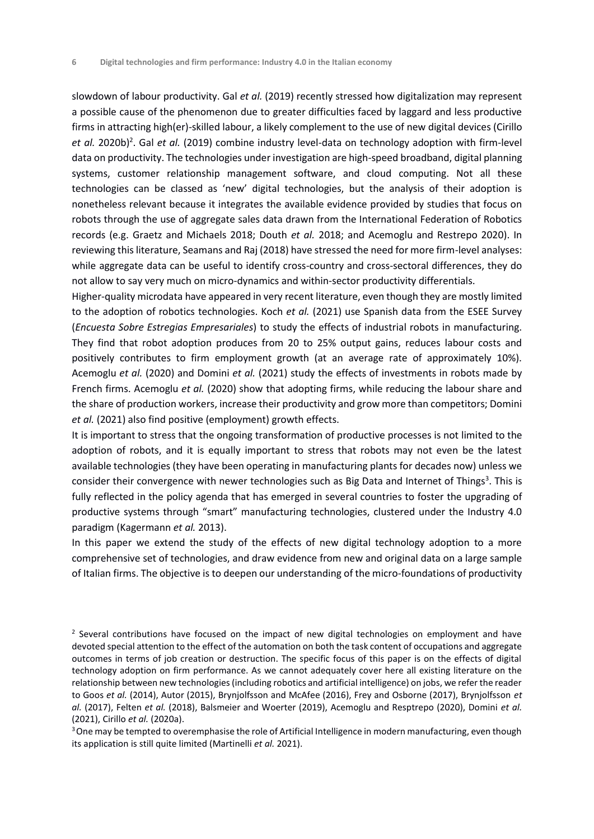slowdown of labour productivity. Gal *et al.* (2019) recently stressed how digitalization may represent a possible cause of the phenomenon due to greater difficulties faced by laggard and less productive firms in attracting high(er)-skilled labour, a likely complement to the use of new digital devices (Cirillo et al. 2020b)<sup>2</sup>. Gal et al. (2019) combine industry level-data on technology adoption with firm-level data on productivity. The technologies under investigation are high-speed broadband, digital planning systems, customer relationship management software, and cloud computing. Not all these technologies can be classed as 'new' digital technologies, but the analysis of their adoption is nonetheless relevant because it integrates the available evidence provided by studies that focus on robots through the use of aggregate sales data drawn from the International Federation of Robotics records (e.g. Graetz and Michaels 2018; Douth *et al.* 2018; and Acemoglu and Restrepo 2020). In reviewing this literature, Seamans and Raj (2018) have stressed the need for more firm-level analyses: while aggregate data can be useful to identify cross-country and cross-sectoral differences, they do not allow to say very much on micro-dynamics and within-sector productivity differentials.

Higher-quality microdata have appeared in very recent literature, even though they are mostly limited to the adoption of robotics technologies. Koch *et al.* (2021) use Spanish data from the ESEE Survey (*Encuesta Sobre Estregias Empresariales*) to study the effects of industrial robots in manufacturing. They find that robot adoption produces from 20 to 25% output gains, reduces labour costs and positively contributes to firm employment growth (at an average rate of approximately 10%). Acemoglu *et al.* (2020) and Domini *et al.* (2021) study the effects of investments in robots made by French firms. Acemoglu *et al.* (2020) show that adopting firms, while reducing the labour share and the share of production workers, increase their productivity and grow more than competitors; Domini *et al.* (2021) also find positive (employment) growth effects.

It is important to stress that the ongoing transformation of productive processes is not limited to the adoption of robots, and it is equally important to stress that robots may not even be the latest available technologies (they have been operating in manufacturing plants for decades now) unless we consider their convergence with newer technologies such as Big Data and Internet of Things<sup>3</sup>. This is fully reflected in the policy agenda that has emerged in several countries to foster the upgrading of productive systems through "smart" manufacturing technologies, clustered under the Industry 4.0 paradigm (Kagermann *et al.* 2013).

In this paper we extend the study of the effects of new digital technology adoption to a more comprehensive set of technologies, and draw evidence from new and original data on a large sample of Italian firms. The objective is to deepen our understanding of the micro-foundations of productivity

<sup>&</sup>lt;sup>2</sup> Several contributions have focused on the impact of new digital technologies on employment and have devoted special attention to the effect of the automation on both the task content of occupations and aggregate outcomes in terms of job creation or destruction. The specific focus of this paper is on the effects of digital technology adoption on firm performance. As we cannot adequately cover here all existing literature on the relationship between new technologies (including robotics and artificial intelligence) on jobs, we refer the reader to Goos *et al.* (2014), Autor (2015), Brynjolfsson and McAfee (2016), Frey and Osborne (2017), Brynjolfsson *et al.* (2017), Felten *et al.* (2018), Balsmeier and Woerter (2019), Acemoglu and Resptrepo (2020), Domini *et al.* (2021), Cirillo *et al.* (2020a).

<sup>&</sup>lt;sup>3</sup> One may be tempted to overemphasise the role of Artificial Intelligence in modern manufacturing, even though its application is still quite limited (Martinelli *et al.* 2021).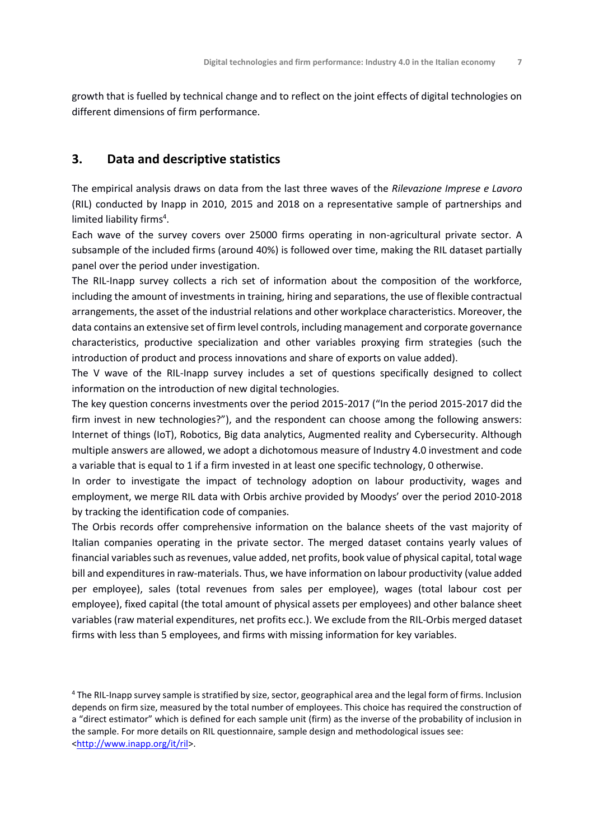growth that is fuelled by technical change and to reflect on the joint effects of digital technologies on different dimensions of firm performance.

## **3. Data and descriptive statistics**

The empirical analysis draws on data from the last three waves of the *Rilevazione Imprese e Lavoro* (RIL) conducted by Inapp in 2010, 2015 and 2018 on a representative sample of partnerships and limited liability firms<sup>4</sup>.

Each wave of the survey covers over 25000 firms operating in non-agricultural private sector. A subsample of the included firms (around 40%) is followed over time, making the RIL dataset partially panel over the period under investigation.

The RIL-Inapp survey collects a rich set of information about the composition of the workforce, including the amount of investments in training, hiring and separations, the use of flexible contractual arrangements, the asset of the industrial relations and other workplace characteristics. Moreover, the data contains an extensive set of firm level controls, including management and corporate governance characteristics, productive specialization and other variables proxying firm strategies (such the introduction of product and process innovations and share of exports on value added).

The V wave of the RIL-Inapp survey includes a set of questions specifically designed to collect information on the introduction of new digital technologies.

The key question concerns investments over the period 2015-2017 ("In the period 2015-2017 did the firm invest in new technologies?"), and the respondent can choose among the following answers: Internet of things (IoT), Robotics, Big data analytics, Augmented reality and Cybersecurity. Although multiple answers are allowed, we adopt a dichotomous measure of Industry 4.0 investment and code a variable that is equal to 1 if a firm invested in at least one specific technology, 0 otherwise.

In order to investigate the impact of technology adoption on labour productivity, wages and employment, we merge RIL data with Orbis archive provided by Moodys' over the period 2010-2018 by tracking the identification code of companies.

The Orbis records offer comprehensive information on the balance sheets of the vast majority of Italian companies operating in the private sector. The merged dataset contains yearly values of financial variables such as revenues, value added, net profits, book value of physical capital, total wage bill and expenditures in raw-materials. Thus, we have information on labour productivity (value added per employee), sales (total revenues from sales per employee), wages (total labour cost per employee), fixed capital (the total amount of physical assets per employees) and other balance sheet variables (raw material expenditures, net profits ecc.). We exclude from the RIL-Orbis merged dataset firms with less than 5 employees, and firms with missing information for key variables.

<sup>4</sup> The RIL-Inapp survey sample is stratified by size, sector, geographical area and the legal form of firms. Inclusion depends on firm size, measured by the total number of employees. This choice has required the construction of a "direct estimator" which is defined for each sample unit (firm) as the inverse of the probability of inclusion in the sample. For more details on RIL questionnaire, sample design and methodological issues see: [<http://www.inapp.org/it/ril>](http://www.inapp.org/it/ril).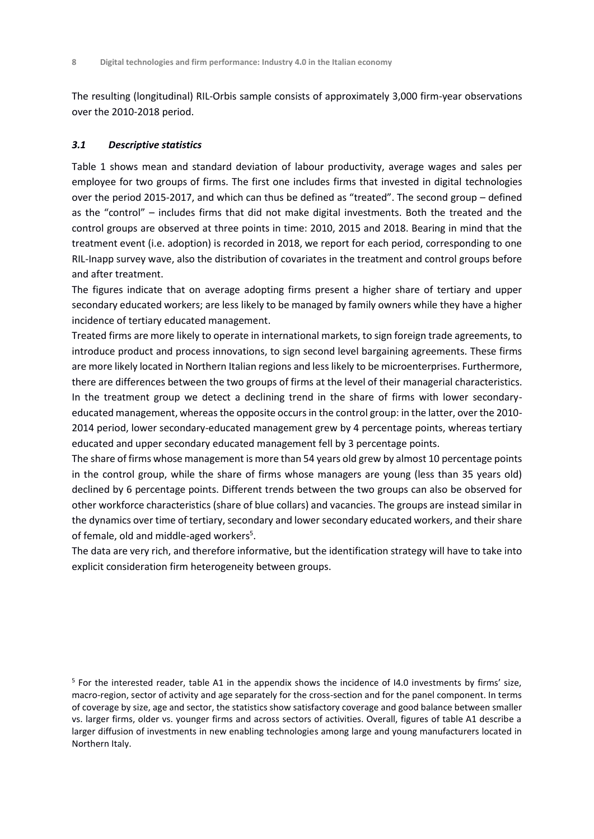The resulting (longitudinal) RIL-Orbis sample consists of approximately 3,000 firm-year observations over the 2010-2018 period.

### *3.1 Descriptive statistics*

Table 1 shows mean and standard deviation of labour productivity, average wages and sales per employee for two groups of firms. The first one includes firms that invested in digital technologies over the period 2015-2017, and which can thus be defined as "treated". The second group – defined as the "control" – includes firms that did not make digital investments. Both the treated and the control groups are observed at three points in time: 2010, 2015 and 2018. Bearing in mind that the treatment event (i.e. adoption) is recorded in 2018, we report for each period, corresponding to one RIL-Inapp survey wave, also the distribution of covariates in the treatment and control groups before and after treatment.

The figures indicate that on average adopting firms present a higher share of tertiary and upper secondary educated workers; are less likely to be managed by family owners while they have a higher incidence of tertiary educated management.

Treated firms are more likely to operate in international markets, to sign foreign trade agreements, to introduce product and process innovations, to sign second level bargaining agreements. These firms are more likely located in Northern Italian regions and less likely to be microenterprises. Furthermore, there are differences between the two groups of firms at the level of their managerial characteristics. In the treatment group we detect a declining trend in the share of firms with lower secondaryeducated management, whereas the opposite occurs in the control group: in the latter, over the 2010- 2014 period, lower secondary-educated management grew by 4 percentage points, whereas tertiary educated and upper secondary educated management fell by 3 percentage points.

The share of firms whose management is more than 54 years old grew by almost 10 percentage points in the control group, while the share of firms whose managers are young (less than 35 years old) declined by 6 percentage points. Different trends between the two groups can also be observed for other workforce characteristics (share of blue collars) and vacancies. The groups are instead similar in the dynamics over time of tertiary, secondary and lower secondary educated workers, and their share of female, old and middle-aged workers<sup>5</sup>.

The data are very rich, and therefore informative, but the identification strategy will have to take into explicit consideration firm heterogeneity between groups.

<sup>5</sup> For the interested reader, table A1 in the appendix shows the incidence of I4.0 investments by firms' size, macro-region, sector of activity and age separately for the cross-section and for the panel component. In terms of coverage by size, age and sector, the statistics show satisfactory coverage and good balance between smaller vs. larger firms, older vs. younger firms and across sectors of activities. Overall, figures of table A1 describe a larger diffusion of investments in new enabling technologies among large and young manufacturers located in Northern Italy.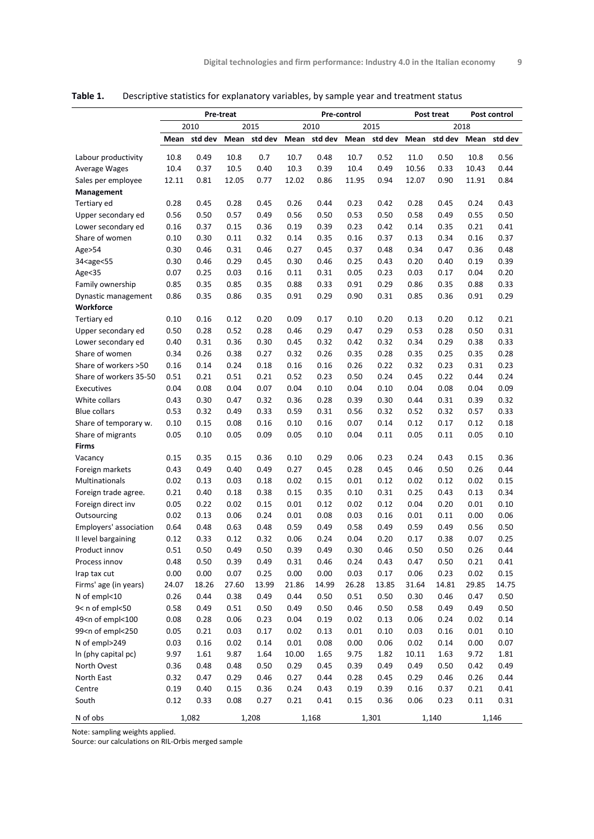|                                                                                                                                                                                                 |       |         | <b>Pre-treat</b> |         |       |         | Pre-control |         |       | Post treat |       | Post control |
|-------------------------------------------------------------------------------------------------------------------------------------------------------------------------------------------------|-------|---------|------------------|---------|-------|---------|-------------|---------|-------|------------|-------|--------------|
|                                                                                                                                                                                                 |       | 2010    |                  | 2015    |       | 2010    |             | 2015    |       |            | 2018  |              |
|                                                                                                                                                                                                 | Mean  | std dev | Mean             | std dev | Mean  | std dev | Mean        | std dev | Mean  | std dev    | Mean  | std dev      |
| Labour productivity                                                                                                                                                                             | 10.8  | 0.49    | 10.8             | 0.7     | 10.7  | 0.48    | 10.7        | 0.52    | 11.0  | 0.50       | 10.8  | 0.56         |
| Average Wages                                                                                                                                                                                   | 10.4  | 0.37    | 10.5             | 0.40    | 10.3  | 0.39    | 10.4        | 0.49    | 10.56 | 0.33       | 10.43 | 0.44         |
| Sales per employee                                                                                                                                                                              | 12.11 | 0.81    | 12.05            | 0.77    | 12.02 | 0.86    | 11.95       | 0.94    | 12.07 | 0.90       | 11.91 | 0.84         |
| Management                                                                                                                                                                                      |       |         |                  |         |       |         |             |         |       |            |       |              |
| Tertiary ed                                                                                                                                                                                     | 0.28  | 0.45    | 0.28             | 0.45    | 0.26  | 0.44    | 0.23        | 0.42    | 0.28  | 0.45       | 0.24  | 0.43         |
| Upper secondary ed                                                                                                                                                                              | 0.56  | 0.50    | 0.57             | 0.49    | 0.56  | 0.50    | 0.53        | 0.50    | 0.58  | 0.49       | 0.55  | 0.50         |
| Lower secondary ed                                                                                                                                                                              | 0.16  | 0.37    | 0.15             | 0.36    | 0.19  | 0.39    | 0.23        | 0.42    | 0.14  | 0.35       | 0.21  | 0.41         |
| Share of women                                                                                                                                                                                  | 0.10  | 0.30    | 0.11             | 0.32    | 0.14  | 0.35    | 0.16        | 0.37    | 0.13  | 0.34       | 0.16  | 0.37         |
| Age>54                                                                                                                                                                                          | 0.30  | 0.46    | 0.31             | 0.46    | 0.27  | 0.45    | 0.37        | 0.48    | 0.34  | 0.47       | 0.36  | 0.48         |
| 34 <age<55< td=""><td>0.30</td><td>0.46</td><td>0.29</td><td>0.45</td><td>0.30</td><td>0.46</td><td>0.25</td><td>0.43</td><td>0.20</td><td>0.40</td><td>0.19</td><td>0.39</td></age<55<>        | 0.30  | 0.46    | 0.29             | 0.45    | 0.30  | 0.46    | 0.25        | 0.43    | 0.20  | 0.40       | 0.19  | 0.39         |
| Age<35                                                                                                                                                                                          | 0.07  | 0.25    | 0.03             | 0.16    | 0.11  | 0.31    | 0.05        | 0.23    | 0.03  | 0.17       | 0.04  | 0.20         |
| Family ownership                                                                                                                                                                                | 0.85  | 0.35    | 0.85             | 0.35    | 0.88  | 0.33    | 0.91        | 0.29    | 0.86  | 0.35       | 0.88  | 0.33         |
| Dynastic management                                                                                                                                                                             | 0.86  | 0.35    | 0.86             | 0.35    | 0.91  | 0.29    | 0.90        | 0.31    | 0.85  | 0.36       | 0.91  | 0.29         |
| Workforce                                                                                                                                                                                       |       |         |                  |         |       |         |             |         |       |            |       |              |
| Tertiary ed                                                                                                                                                                                     | 0.10  | 0.16    | 0.12             | 0.20    | 0.09  | 0.17    | 0.10        | 0.20    | 0.13  | 0.20       | 0.12  | 0.21         |
| Upper secondary ed                                                                                                                                                                              | 0.50  | 0.28    | 0.52             | 0.28    | 0.46  | 0.29    | 0.47        | 0.29    | 0.53  | 0.28       | 0.50  | 0.31         |
| Lower secondary ed                                                                                                                                                                              | 0.40  | 0.31    | 0.36             | 0.30    | 0.45  | 0.32    | 0.42        | 0.32    | 0.34  | 0.29       | 0.38  | 0.33         |
| Share of women                                                                                                                                                                                  | 0.34  | 0.26    | 0.38             | 0.27    | 0.32  | 0.26    | 0.35        | 0.28    | 0.35  | 0.25       | 0.35  | 0.28         |
| Share of workers >50                                                                                                                                                                            | 0.16  | 0.14    | 0.24             | 0.18    | 0.16  | 0.16    | 0.26        | 0.22    | 0.32  | 0.23       | 0.31  | 0.23         |
| Share of workers 35-50                                                                                                                                                                          | 0.51  | 0.21    | 0.51             | 0.21    | 0.52  | 0.23    | 0.50        | 0.24    | 0.45  | 0.22       | 0.44  | 0.24         |
| Executives                                                                                                                                                                                      | 0.04  | 0.08    | 0.04             | 0.07    | 0.04  | 0.10    | 0.04        | 0.10    | 0.04  | 0.08       | 0.04  | 0.09         |
| White collars                                                                                                                                                                                   | 0.43  | 0.30    | 0.47             | 0.32    | 0.36  | 0.28    | 0.39        | 0.30    | 0.44  | 0.31       | 0.39  | 0.32         |
| <b>Blue collars</b>                                                                                                                                                                             | 0.53  | 0.32    | 0.49             | 0.33    | 0.59  | 0.31    | 0.56        | 0.32    | 0.52  | 0.32       | 0.57  | 0.33         |
| Share of temporary w.                                                                                                                                                                           | 0.10  | 0.15    | 0.08             | 0.16    | 0.10  | 0.16    | 0.07        | 0.14    | 0.12  | 0.17       | 0.12  | 0.18         |
| Share of migrants                                                                                                                                                                               | 0.05  | 0.10    | 0.05             | 0.09    | 0.05  | 0.10    | 0.04        | 0.11    | 0.05  | 0.11       | 0.05  | 0.10         |
| Firms                                                                                                                                                                                           |       |         |                  |         |       |         |             |         |       |            |       |              |
| Vacancy                                                                                                                                                                                         | 0.15  | 0.35    | 0.15             | 0.36    | 0.10  | 0.29    | 0.06        | 0.23    | 0.24  | 0.43       | 0.15  | 0.36         |
| Foreign markets                                                                                                                                                                                 | 0.43  | 0.49    | 0.40             | 0.49    | 0.27  | 0.45    | 0.28        | 0.45    | 0.46  | 0.50       | 0.26  | 0.44         |
| Multinationals                                                                                                                                                                                  | 0.02  | 0.13    | 0.03             | 0.18    | 0.02  | 0.15    | 0.01        | 0.12    | 0.02  | 0.12       | 0.02  | 0.15         |
| Foreign trade agree.                                                                                                                                                                            | 0.21  | 0.40    | 0.18             | 0.38    | 0.15  | 0.35    | 0.10        | 0.31    | 0.25  | 0.43       | 0.13  | 0.34         |
| Foreign direct inv                                                                                                                                                                              | 0.05  | 0.22    | 0.02             | 0.15    | 0.01  | 0.12    | 0.02        | 0.12    | 0.04  | 0.20       | 0.01  | 0.10         |
| Outsourcing                                                                                                                                                                                     | 0.02  | 0.13    | 0.06             | 0.24    | 0.01  | 0.08    | 0.03        | 0.16    | 0.01  | 0.11       | 0.00  | 0.06         |
| Employers' association                                                                                                                                                                          | 0.64  | 0.48    | 0.63             | 0.48    | 0.59  | 0.49    | 0.58        | 0.49    | 0.59  | 0.49       | 0.56  | 0.50         |
| II level bargaining                                                                                                                                                                             | 0.12  | 0.33    | 0.12             | 0.32    | 0.06  | 0.24    | 0.04        | 0.20    | 0.17  | 0.38       | 0.07  | 0.25         |
| Product innov                                                                                                                                                                                   | 0.51  | 0.50    | 0.49             | 0.50    | 0.39  | 0.49    | 0.30        | 0.46    | 0.50  | 0.50       | 0.26  | 0.44         |
| Process innov                                                                                                                                                                                   | 0.48  | 0.50    | 0.39             | 0.49    | 0.31  | 0.46    | 0.24        | 0.43    | 0.47  | 0.50       | 0.21  | 0.41         |
| Irap tax cut                                                                                                                                                                                    | 0.00  | 0.00    | 0.07             | 0.25    | 0.00  | 0.00    | 0.03        | 0.17    | 0.06  | 0.23       | 0.02  | 0.15         |
| Firms' age (in years)                                                                                                                                                                           | 24.07 | 18.26   | 27.60            | 13.99   | 21.86 | 14.99   | 26.28       | 13.85   | 31.64 | 14.81      | 29.85 | 14.75        |
| N of empl<10                                                                                                                                                                                    | 0.26  | 0.44    | 0.38             | 0.49    | 0.44  | 0.50    | 0.51        | 0.50    | 0.30  | 0.46       | 0.47  | 0.50         |
| 9< n of empl<50                                                                                                                                                                                 | 0.58  | 0.49    | 0.51             | 0.50    | 0.49  | 0.50    | 0.46        | 0.50    | 0.58  | 0.49       | 0.49  | 0.50         |
| 49 <n empl<100<="" of="" td=""><td>0.08</td><td>0.28</td><td>0.06</td><td>0.23</td><td>0.04</td><td>0.19</td><td>0.02</td><td>0.13</td><td>0.06</td><td>0.24</td><td>0.02</td><td>0.14</td></n> | 0.08  | 0.28    | 0.06             | 0.23    | 0.04  | 0.19    | 0.02        | 0.13    | 0.06  | 0.24       | 0.02  | 0.14         |
| 99 <n empl<250<="" of="" td=""><td>0.05</td><td>0.21</td><td>0.03</td><td>0.17</td><td>0.02</td><td>0.13</td><td>0.01</td><td>0.10</td><td>0.03</td><td>0.16</td><td>0.01</td><td>0.10</td></n> | 0.05  | 0.21    | 0.03             | 0.17    | 0.02  | 0.13    | 0.01        | 0.10    | 0.03  | 0.16       | 0.01  | 0.10         |
| N of empl>249                                                                                                                                                                                   | 0.03  | 0.16    | 0.02             | 0.14    | 0.01  | 0.08    | 0.00        | 0.06    | 0.02  | 0.14       | 0.00  | 0.07         |
| In (phy capital pc)                                                                                                                                                                             | 9.97  | 1.61    | 9.87             | 1.64    | 10.00 | 1.65    | 9.75        | 1.82    | 10.11 | 1.63       | 9.72  | 1.81         |
| North Ovest                                                                                                                                                                                     | 0.36  | 0.48    | 0.48             | 0.50    | 0.29  | 0.45    | 0.39        | 0.49    | 0.49  | 0.50       | 0.42  | 0.49         |
| North East                                                                                                                                                                                      | 0.32  | 0.47    | 0.29             | 0.46    | 0.27  | 0.44    | 0.28        | 0.45    | 0.29  | 0.46       | 0.26  | 0.44         |
| Centre                                                                                                                                                                                          | 0.19  | 0.40    | 0.15             | 0.36    | 0.24  | 0.43    | 0.19        | 0.39    | 0.16  | 0.37       | 0.21  | 0.41         |
| South                                                                                                                                                                                           | 0.12  | 0.33    | 0.08             | 0.27    | 0.21  | 0.41    | 0.15        | 0.36    | 0.06  | 0.23       | 0.11  | 0.31         |
| N of obs                                                                                                                                                                                        |       | 1,082   |                  | 1,208   |       | 1,168   |             | 1,301   |       | 1,140      |       | 1,146        |

**Table 1.** Descriptive statistics for explanatory variables, by sample year and treatment status

Note: sampling weights applied.

Source: our calculations on RIL-Orbis merged sample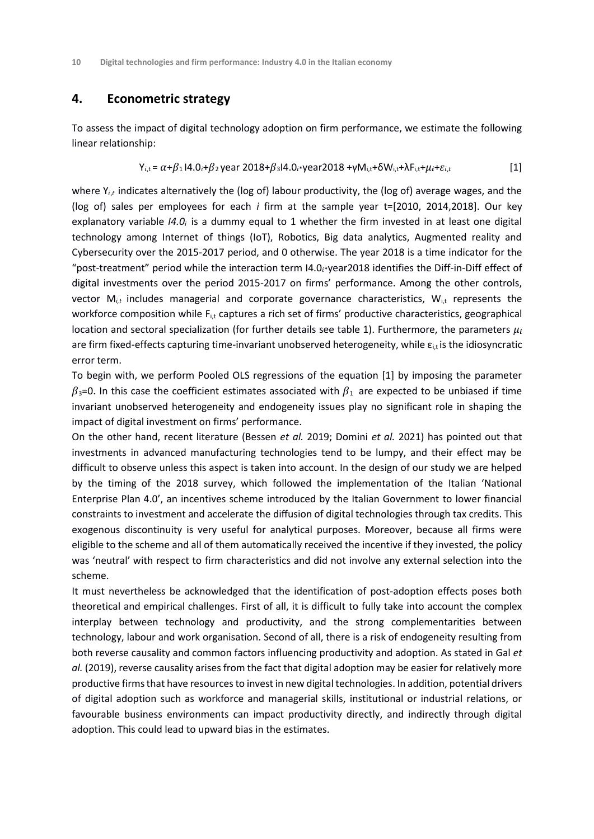## **4. Econometric strategy**

To assess the impact of digital technology adoption on firm performance, we estimate the following linear relationship:

$$
Y_{i,t} = \alpha + \beta_1 14.0_i + \beta_2 14.0_i + \beta_3 14.0_i + \gamma_4 14.0_i + \gamma_5 14.0_i + \gamma_6 14.0_i + \delta_7 14.0_i + \delta_7 14.0_i + \delta_8 14.0_i + \delta_9 14.0_i + \delta_9 14.0_i + \delta_9 14.0_i + \delta_9 14.0_i + \delta_9 14.0_i + \delta_9 14.0_i + \delta_9 14.0_i + \delta_9 14.0_i + \delta_9 14.0_i + \delta_9 14.0_i + \delta_9 14.0_i + \delta_9 14.0_i + \delta_9 14.0_i + \delta_9 14.0_i + \delta_9 14.0_i + \delta_9 14.0_i + \delta_9 14.0_i + \delta_9 14.0_i + \delta_9 14.0_i + \delta_9 14.0_i + \delta_9 14.0_i + \delta_9 14.0_i + \delta_9 14.0_i + \delta_9 14.0_i + \delta_9 14.0_i + \delta_9 14.0_i + \delta_9 14.0_i + \delta_9 14.0_i + \delta_9 14.0_i + \delta_9 14.0_i + \delta_9 14.0_i + \delta_9 14.0_i + \delta_9 14.0_i + \delta_9 14.0_i + \delta_9 14.0_i + \delta_9 14.0_i + \delta_9 14.0_i + \delta_9 14.0_i + \delta_9 14.0_i + \delta_9 14.0_i + \delta_9 14.0_i + \delta_9 14.0_i + \delta_9 14.0_i + \delta_9 14.0_i + \delta_9 14.0_i + \delta_9 14.0_i + \delta_9 14.0_i + \delta_9 14.0_i + \delta_9 14.0_i + \delta_9 14.0_i + \delta_9 14.0_i + \delta_9 14.0_i + \delta_9 14.0_i + \delta_9 14.0_i + \delta_9 14.0_i + \delta_9 14.0_i + \delta_9 14.0_i + \delta_9 14.0_i + \delta_9 14.0_i + \delta
$$

where  $Y_{i,t}$  indicates alternatively the (log of) labour productivity, the (log of) average wages, and the (log of) sales per employees for each *i* firm at the sample year t=[2010, 2014,2018]. Our key explanatory variable *I4.0<sup>i</sup>* is a dummy equal to 1 whether the firm invested in at least one digital technology among Internet of things (IoT), Robotics, Big data analytics, Augmented reality and Cybersecurity over the 2015-2017 period, and 0 otherwise. The year 2018 is a time indicator for the "post-treatment" period while the interaction term  $14.0<sub>i</sub>$ year2018 identifies the Diff-in-Diff effect of digital investments over the period 2015-2017 on firms' performance. Among the other controls, vector M*i,t* includes managerial and corporate governance characteristics, Wi,t represents the workforce composition while  $F_{i,t}$  captures a rich set of firms' productive characteristics, geographical location and sectoral specialization (for further details see table 1). Furthermore, the parameters  $\mu_i$ are firm fixed-effects capturing time-invariant unobserved heterogeneity, while  $\varepsilon_{i,t}$  is the idiosyncratic error term.

To begin with, we perform Pooled OLS regressions of the equation [1] by imposing the parameter  $\beta_3$ =0. In this case the coefficient estimates associated with  $\beta_1$  are expected to be unbiased if time invariant unobserved heterogeneity and endogeneity issues play no significant role in shaping the impact of digital investment on firms' performance.

On the other hand, recent literature (Bessen *et al.* 2019; Domini *et al.* 2021) has pointed out that investments in advanced manufacturing technologies tend to be lumpy, and their effect may be difficult to observe unless this aspect is taken into account. In the design of our study we are helped by the timing of the 2018 survey, which followed the implementation of the Italian 'National Enterprise Plan 4.0', an incentives scheme introduced by the Italian Government to lower financial constraints to investment and accelerate the diffusion of digital technologies through tax credits. This exogenous discontinuity is very useful for analytical purposes. Moreover, because all firms were eligible to the scheme and all of them automatically received the incentive if they invested, the policy was 'neutral' with respect to firm characteristics and did not involve any external selection into the scheme.

It must nevertheless be acknowledged that the identification of post-adoption effects poses both theoretical and empirical challenges. First of all, it is difficult to fully take into account the complex interplay between technology and productivity, and the strong complementarities between technology, labour and work organisation. Second of all, there is a risk of endogeneity resulting from both reverse causality and common factors influencing productivity and adoption. As stated in Gal *et al.* (2019), reverse causality arises from the fact that digital adoption may be easier for relatively more productive firms that have resources to invest in new digital technologies. In addition, potential drivers of digital adoption such as workforce and managerial skills, institutional or industrial relations, or favourable business environments can impact productivity directly, and indirectly through digital adoption. This could lead to upward bias in the estimates.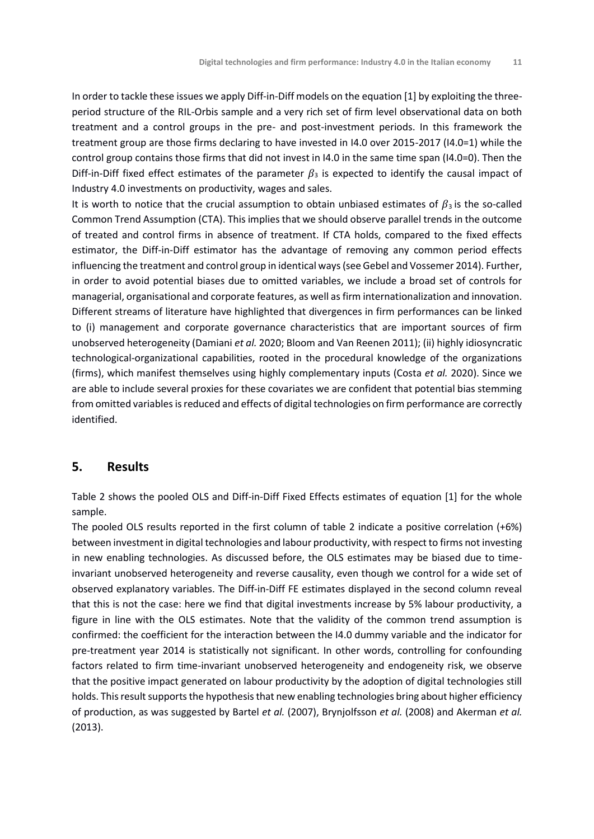In order to tackle these issues we apply Diff-in-Diff models on the equation [1] by exploiting the threeperiod structure of the RIL-Orbis sample and a very rich set of firm level observational data on both treatment and a control groups in the pre- and post-investment periods. In this framework the treatment group are those firms declaring to have invested in I4.0 over 2015-2017 (I4.0=1) while the control group contains those firms that did not invest in I4.0 in the same time span (I4.0=0). Then the Diff-in-Diff fixed effect estimates of the parameter  $\beta_3$  is expected to identify the causal impact of Industry 4.0 investments on productivity, wages and sales.

It is worth to notice that the crucial assumption to obtain unbiased estimates of  $\beta_3$  is the so-called Common Trend Assumption (CTA). This implies that we should observe parallel trends in the outcome of treated and control firms in absence of treatment. If CTA holds, compared to the fixed effects estimator, the Diff-in-Diff estimator has the advantage of removing any common period effects influencing the treatment and control group in identical ways (see Gebel and Vossemer 2014). Further, in order to avoid potential biases due to omitted variables, we include a broad set of controls for managerial, organisational and corporate features, as well as firm internationalization and innovation. Different streams of literature have highlighted that divergences in firm performances can be linked to (i) management and corporate governance characteristics that are important sources of firm unobserved heterogeneity (Damiani *et al.* 2020; Bloom and Van Reenen 2011); (ii) highly idiosyncratic technological-organizational capabilities, rooted in the procedural knowledge of the organizations (firms), which manifest themselves using highly complementary inputs (Costa *et al.* 2020). Since we are able to include several proxies for these covariates we are confident that potential bias stemming from omitted variables is reduced and effects of digital technologies on firm performance are correctly identified.

## **5. Results**

Table 2 shows the pooled OLS and Diff-in-Diff Fixed Effects estimates of equation [1] for the whole sample.

The pooled OLS results reported in the first column of table 2 indicate a positive correlation (+6%) between investment in digital technologies and labour productivity, with respect to firms not investing in new enabling technologies. As discussed before, the OLS estimates may be biased due to timeinvariant unobserved heterogeneity and reverse causality, even though we control for a wide set of observed explanatory variables. The Diff-in-Diff FE estimates displayed in the second column reveal that this is not the case: here we find that digital investments increase by 5% labour productivity, a figure in line with the OLS estimates. Note that the validity of the common trend assumption is confirmed: the coefficient for the interaction between the I4.0 dummy variable and the indicator for pre-treatment year 2014 is statistically not significant. In other words, controlling for confounding factors related to firm time-invariant unobserved heterogeneity and endogeneity risk, we observe that the positive impact generated on labour productivity by the adoption of digital technologies still holds. This result supports the hypothesis that new enabling technologies bring about higher efficiency of production, as was suggested by Bartel *et al.* (2007), Brynjolfsson *et al.* (2008) and Akerman *et al.* (2013).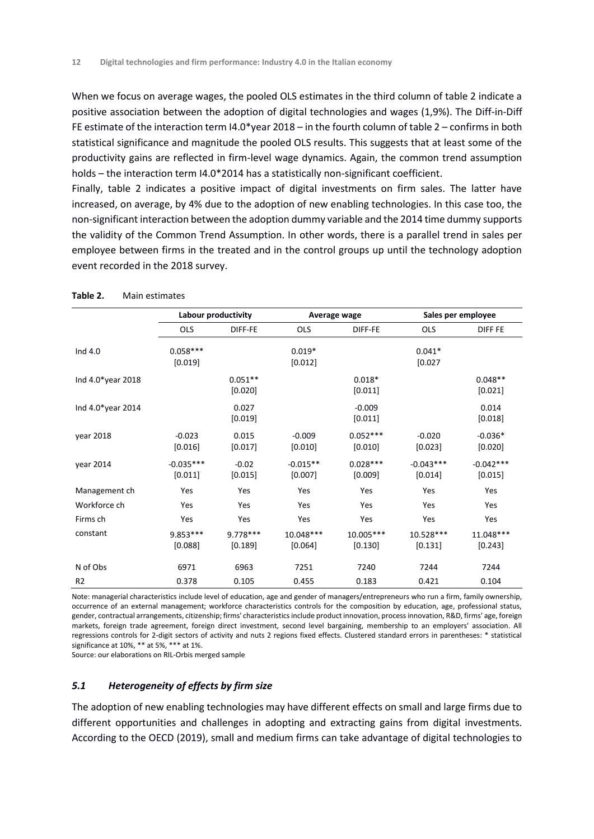When we focus on average wages, the pooled OLS estimates in the third column of table 2 indicate a positive association between the adoption of digital technologies and wages (1,9%). The Diff-in-Diff FE estimate of the interaction term I4.0\*year 2018 – in the fourth column of table 2 – confirms in both statistical significance and magnitude the pooled OLS results. This suggests that at least some of the productivity gains are reflected in firm-level wage dynamics. Again, the common trend assumption holds – the interaction term I4.0\*2014 has a statistically non-significant coefficient.

Finally, table 2 indicates a positive impact of digital investments on firm sales. The latter have increased, on average, by 4% due to the adoption of new enabling technologies. In this case too, the non-significant interaction between the adoption dummy variable and the 2014 time dummy supports the validity of the Common Trend Assumption. In other words, there is a parallel trend in sales per employee between firms in the treated and in the control groups up until the technology adoption event recorded in the 2018 survey.

|                   | Labour productivity    |                      | Average wage          |                         | Sales per employee     |                        |  |
|-------------------|------------------------|----------------------|-----------------------|-------------------------|------------------------|------------------------|--|
|                   | <b>OLS</b>             | DIFF-FE              | <b>OLS</b>            | DIFF-FE                 | <b>OLS</b>             | <b>DIFF FE</b>         |  |
| Ind 4.0           | $0.058***$<br>[0.019]  |                      | $0.019*$<br>[0.012]   |                         | $0.041*$<br>[0.027]    |                        |  |
| Ind 4.0*year 2018 |                        | $0.051**$<br>[0.020] |                       | $0.018*$<br>[0.011]     |                        | $0.048**$<br>[0.021]   |  |
| Ind 4.0*year 2014 |                        | 0.027<br>[0.019]     |                       | $-0.009$<br>[0.011]     |                        | 0.014<br>[0.018]       |  |
| year 2018         | $-0.023$<br>$[0.016]$  | 0.015<br>[0.017]     | $-0.009$<br>[0.010]   | $0.052***$<br>$[0.010]$ | $-0.020$<br>$[0.023]$  | $-0.036*$<br>[0.020]   |  |
| vear 2014         | $-0.035***$<br>[0.011] | $-0.02$<br>[0.015]   | $-0.015**$<br>[0.007] | $0.028***$<br>[0.009]   | $-0.043***$<br>[0.014] | $-0.042***$<br>[0.015] |  |
| Management ch     | Yes                    | Yes                  | Yes                   | Yes                     | Yes                    | Yes                    |  |
| Workforce ch      | Yes                    | Yes                  | Yes                   | Yes                     | Yes                    | Yes                    |  |
| Firms ch          | Yes                    | Yes                  | Yes                   | Yes                     | Yes                    | Yes                    |  |
| constant          | 9.853 ***<br>[0.088]   | 9.778***<br>[0.189]  | 10.048***<br>[0.064]  | 10.005***<br>$[0.130]$  | 10.528***<br>[0.131]   | 11.048***<br>[0.243]   |  |
| N of Obs          | 6971                   | 6963                 | 7251                  | 7240                    | 7244                   | 7244                   |  |
| R <sub>2</sub>    | 0.378                  | 0.105                | 0.455                 | 0.183                   | 0.421                  | 0.104                  |  |

**Table 2.** Main estimates

Note: managerial characteristics include level of education, age and gender of managers/entrepreneurs who run a firm, family ownership, occurrence of an external management; workforce characteristics controls for the composition by education, age, professional status, gender, contractual arrangements, citizenship; firms' characteristics include product innovation, process innovation, R&D, firms' age, foreign markets, foreign trade agreement, foreign direct investment, second level bargaining, membership to an employers' association. All regressions controls for 2-digit sectors of activity and nuts 2 regions fixed effects. Clustered standard errors in parentheses: \* statistical significance at 10%, \*\* at 5%, \*\*\* at 1%.

Source: our elaborations on RIL-Orbis merged sample

### *5.1 Heterogeneity of effects by firm size*

The adoption of new enabling technologies may have different effects on small and large firms due to different opportunities and challenges in adopting and extracting gains from digital investments. According to the OECD (2019), small and medium firms can take advantage of digital technologies to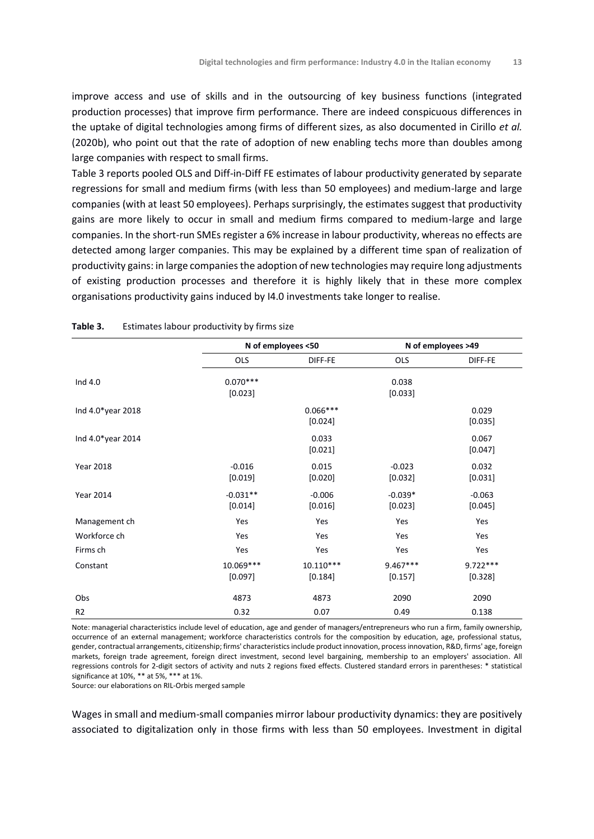improve access and use of skills and in the outsourcing of key business functions (integrated production processes) that improve firm performance. There are indeed conspicuous differences in the uptake of digital technologies among firms of different sizes, as also documented in Cirillo *et al.* (2020b), who point out that the rate of adoption of new enabling techs more than doubles among large companies with respect to small firms.

Table 3 reports pooled OLS and Diff-in-Diff FE estimates of labour productivity generated by separate regressions for small and medium firms (with less than 50 employees) and medium-large and large companies (with at least 50 employees). Perhaps surprisingly, the estimates suggest that productivity gains are more likely to occur in small and medium firms compared to medium-large and large companies. In the short-run SMEs register a 6% increase in labour productivity, whereas no effects are detected among larger companies. This may be explained by a different time span of realization of productivity gains: in large companies the adoption of new technologies may require long adjustments of existing production processes and therefore it is highly likely that in these more complex organisations productivity gains induced by I4.0 investments take longer to realise.

|                   |                       | N of employees <50     |                       | N of employees >49    |
|-------------------|-----------------------|------------------------|-----------------------|-----------------------|
|                   | <b>OLS</b>            | DIFF-FE                | <b>OLS</b>            | DIFF-FE               |
| Ind 4.0           | $0.070***$<br>[0.023] |                        | 0.038<br>[0.033]      |                       |
| Ind 4.0*year 2018 |                       | $0.066***$<br>[0.024]  |                       | 0.029<br>[0.035]      |
| Ind 4.0*year 2014 |                       | 0.033<br>[0.021]       |                       | 0.067<br>[0.047]      |
| <b>Year 2018</b>  | $-0.016$<br>[0.019]   | 0.015<br>[0.020]       | $-0.023$<br>[0.032]   | 0.032<br>[0.031]      |
| <b>Year 2014</b>  | $-0.031**$<br>[0.014] | $-0.006$<br>[0.016]    | $-0.039*$<br>[0.023]  | $-0.063$<br>[0.045]   |
| Management ch     | Yes                   | Yes                    | Yes                   | Yes                   |
| Workforce ch      | Yes                   | Yes                    | Yes                   | Yes                   |
| Firms ch          | Yes                   | Yes                    | Yes                   | Yes                   |
| Constant          | 10.069***<br>[0.097]  | $10.110***$<br>[0.184] | $9.467***$<br>[0.157] | $9.722***$<br>[0.328] |
| Obs               | 4873                  | 4873                   | 2090                  | 2090                  |
| R <sub>2</sub>    | 0.32                  | 0.07                   | 0.49                  | 0.138                 |

#### **Table 3.** Estimates labour productivity by firms size

Note: managerial characteristics include level of education, age and gender of managers/entrepreneurs who run a firm, family ownership, occurrence of an external management; workforce characteristics controls for the composition by education, age, professional status, gender, contractual arrangements, citizenship; firms' characteristics include product innovation, process innovation, R&D, firms' age, foreign markets, foreign trade agreement, foreign direct investment, second level bargaining, membership to an employers' association. All regressions controls for 2-digit sectors of activity and nuts 2 regions fixed effects. Clustered standard errors in parentheses: \* statistical significance at 10%, \*\* at 5%, \*\*\* at 1%.

Source: our elaborations on RIL-Orbis merged sample

Wages in small and medium-small companies mirror labour productivity dynamics: they are positively associated to digitalization only in those firms with less than 50 employees. Investment in digital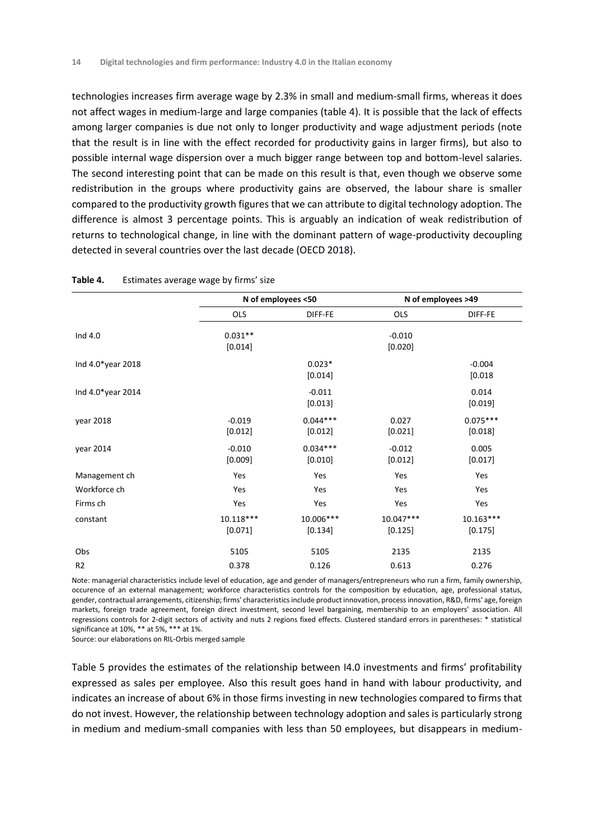technologies increases firm average wage by 2.3% in small and medium-small firms, whereas it does not affect wages in medium-large and large companies (table 4). It is possible that the lack of effects among larger companies is due not only to longer productivity and wage adjustment periods (note that the result is in line with the effect recorded for productivity gains in larger firms), but also to possible internal wage dispersion over a much bigger range between top and bottom-level salaries. The second interesting point that can be made on this result is that, even though we observe some redistribution in the groups where productivity gains are observed, the labour share is smaller compared to the productivity growth figures that we can attribute to digital technology adoption. The difference is almost 3 percentage points. This is arguably an indication of weak redistribution of returns to technological change, in line with the dominant pattern of wage-productivity decoupling detected in several countries over the last decade (OECD 2018).

|                   |                        | N of employees <50    |                      | N of employees >49     |
|-------------------|------------------------|-----------------------|----------------------|------------------------|
|                   | <b>OLS</b>             | DIFF-FE               | <b>OLS</b>           | DIFF-FE                |
| Ind 4.0           | $0.031**$<br>[0.014]   |                       | $-0.010$<br>[0.020]  |                        |
| Ind 4.0*year 2018 |                        | $0.023*$<br>[0.014]   |                      | $-0.004$<br>[0.018]    |
| Ind 4.0*year 2014 |                        | $-0.011$<br>[0.013]   |                      | 0.014<br>[0.019]       |
| year 2018         | $-0.019$<br>[0.012]    | $0.044***$<br>[0.012] | 0.027<br>[0.021]     | $0.075***$<br>[0.018]  |
| year 2014         | $-0.010$<br>[0.009]    | $0.034***$<br>[0.010] | $-0.012$<br>[0.012]  | 0.005<br>[0.017]       |
| Management ch     | Yes                    | Yes                   | Yes                  | Yes                    |
| Workforce ch      | Yes                    | Yes                   | Yes                  | Yes                    |
| Firms ch          | Yes                    | Yes                   | Yes                  | Yes                    |
| constant          | $10.118***$<br>[0.071] | 10.006***<br>[0.134]  | 10.047***<br>[0.125] | $10.163***$<br>[0.175] |
| Obs               | 5105                   | 5105                  | 2135                 | 2135                   |
| R <sub>2</sub>    | 0.378                  | 0.126                 | 0.613                | 0.276                  |

| Table 4.<br>Estimates average wage by firms' size |
|---------------------------------------------------|
|                                                   |

Note: managerial characteristics include level of education, age and gender of managers/entrepreneurs who run a firm, family ownership, occurence of an external management; workforce characteristics controls for the composition by education, age, professional status, gender, contractual arrangements, citizenship; firms' characteristics include product innovation, process innovation, R&D, firms' age, foreign markets, foreign trade agreement, foreign direct investment, second level bargaining, membership to an employers' association. All regressions controls for 2-digit sectors of activity and nuts 2 regions fixed effects. Clustered standard errors in parentheses: \* statistical significance at 10%, \*\* at 5%, \*\*\* at 1%.

Source: our elaborations on RIL-Orbis merged sample

Table 5 provides the estimates of the relationship between I4.0 investments and firms' profitability expressed as sales per employee. Also this result goes hand in hand with labour productivity, and indicates an increase of about 6% in those firms investing in new technologies compared to firms that do not invest. However, the relationship between technology adoption and sales is particularly strong in medium and medium-small companies with less than 50 employees, but disappears in medium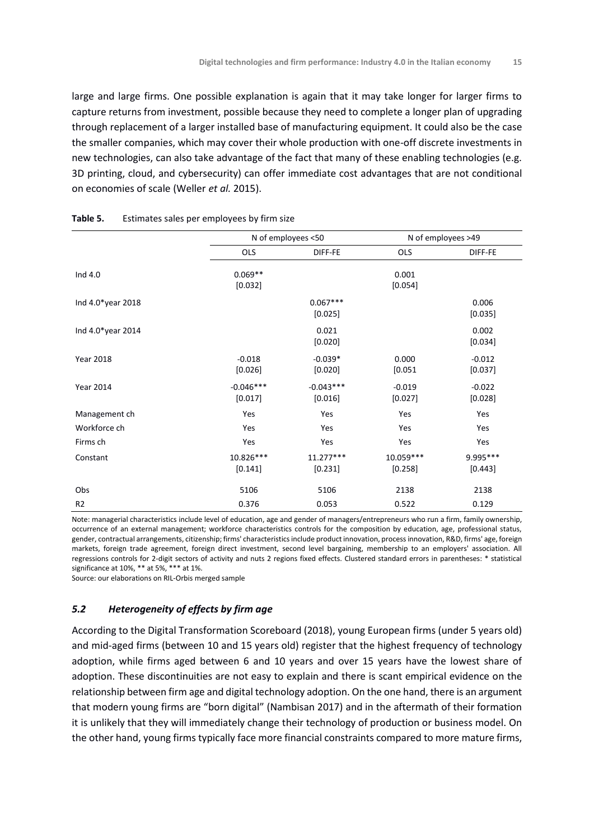large and large firms. One possible explanation is again that it may take longer for larger firms to capture returns from investment, possible because they need to complete a longer plan of upgrading through replacement of a larger installed base of manufacturing equipment. It could also be the case the smaller companies, which may cover their whole production with one-off discrete investments in new technologies, can also take advantage of the fact that many of these enabling technologies (e.g. 3D printing, cloud, and cybersecurity) can offer immediate cost advantages that are not conditional on economies of scale (Weller *et al.* 2015).

|                   | N of employees <50     |                        | N of employees >49    |                      |
|-------------------|------------------------|------------------------|-----------------------|----------------------|
|                   | OLS                    | DIFF-FE                | OLS                   | DIFF-FE              |
| Ind 4.0           | $0.069**$<br>[0.032]   |                        | 0.001<br>[0.054]      |                      |
| Ind 4.0*year 2018 |                        | $0.067***$<br>[0.025]  |                       | 0.006<br>[0.035]     |
| Ind 4.0*year 2014 |                        | 0.021<br>[0.020]       |                       | 0.002<br>[0.034]     |
| <b>Year 2018</b>  | $-0.018$<br>[0.026]    | $-0.039*$<br>[0.020]   | 0.000<br>[0.051]      | $-0.012$<br>[0.037]  |
| <b>Year 2014</b>  | $-0.046***$<br>[0.017] | $-0.043***$<br>[0.016] | $-0.019$<br>[0.027]   | $-0.022$<br>[0.028]  |
| Management ch     | Yes                    | Yes                    | Yes                   | Yes                  |
| Workforce ch      | Yes                    | Yes                    | Yes                   | Yes                  |
| Firms ch          | Yes                    | Yes                    | Yes                   | Yes                  |
| Constant          | 10.826***<br>[0.141]   | 11.277***<br>[0.231]   | 10.059 ***<br>[0.258] | 9.995 ***<br>[0.443] |
| Obs               | 5106                   | 5106                   | 2138                  | 2138                 |
| R <sub>2</sub>    | 0.376                  | 0.053                  | 0.522                 | 0.129                |

#### **Table 5.** Estimates sales per employees by firm size

Note: managerial characteristics include level of education, age and gender of managers/entrepreneurs who run a firm, family ownership, occurrence of an external management; workforce characteristics controls for the composition by education, age, professional status, gender, contractual arrangements, citizenship; firms' characteristics include product innovation, process innovation, R&D, firms' age, foreign markets, foreign trade agreement, foreign direct investment, second level bargaining, membership to an employers' association. All regressions controls for 2-digit sectors of activity and nuts 2 regions fixed effects. Clustered standard errors in parentheses: \* statistical significance at 10%, \*\* at 5%, \*\*\* at 1%.

Source: our elaborations on RIL-Orbis merged sample

### *5.2 Heterogeneity of effects by firm age*

According to the Digital Transformation Scoreboard (2018), young European firms (under 5 years old) and mid-aged firms (between 10 and 15 years old) register that the highest frequency of technology adoption, while firms aged between 6 and 10 years and over 15 years have the lowest share of adoption. These discontinuities are not easy to explain and there is scant empirical evidence on the relationship between firm age and digital technology adoption. On the one hand, there is an argument that modern young firms are "born digital" (Nambisan 2017) and in the aftermath of their formation it is unlikely that they will immediately change their technology of production or business model. On the other hand, young firms typically face more financial constraints compared to more mature firms,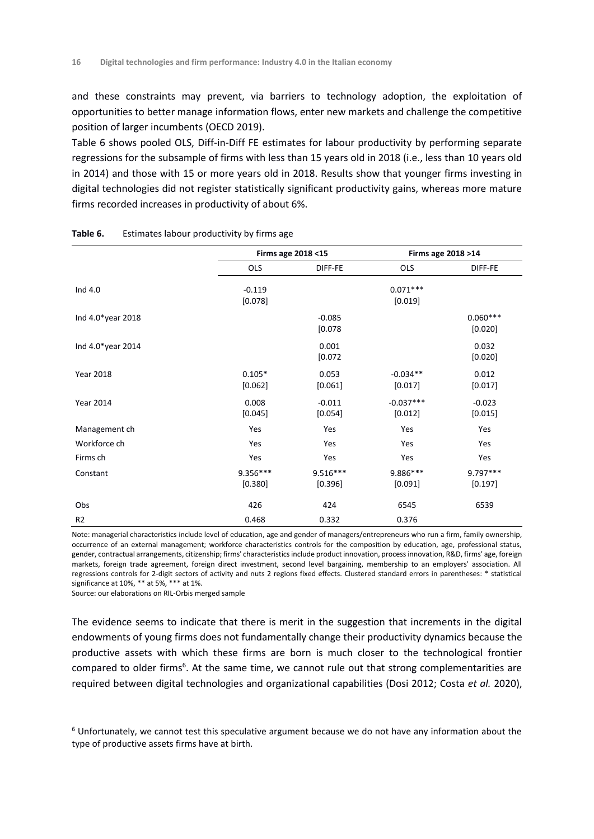and these constraints may prevent, via barriers to technology adoption, the exploitation of opportunities to better manage information flows, enter new markets and challenge the competitive position of larger incumbents (OECD 2019).

Table 6 shows pooled OLS, Diff-in-Diff FE estimates for labour productivity by performing separate regressions for the subsample of firms with less than 15 years old in 2018 (i.e., less than 10 years old in 2014) and those with 15 or more years old in 2018. Results show that younger firms investing in digital technologies did not register statistically significant productivity gains, whereas more mature firms recorded increases in productivity of about 6%.

|                   |                       | Firms age 2018 <15    | Firms age 2018 > 14     |                       |
|-------------------|-----------------------|-----------------------|-------------------------|-----------------------|
|                   | <b>OLS</b>            | DIFF-FE               | <b>OLS</b>              | DIFF-FE               |
| Ind 4.0           | $-0.119$<br>[0.078]   |                       | $0.071***$<br>[0.019]   |                       |
| Ind 4.0*year 2018 |                       | $-0.085$<br>[0.078]   |                         | $0.060***$<br>[0.020] |
| Ind 4.0*year 2014 |                       | 0.001<br>[0.072]      |                         | 0.032<br>[0.020]      |
| <b>Year 2018</b>  | $0.105*$<br>[0.062]   | 0.053<br>$[0.061]$    | $-0.034**$<br>$[0.017]$ | 0.012<br>$[0.017]$    |
| <b>Year 2014</b>  | 0.008<br>[0.045]      | $-0.011$<br>[0.054]   | $-0.037***$<br>[0.012]  | $-0.023$<br>[0.015]   |
| Management ch     | Yes                   | Yes                   | Yes                     | Yes                   |
| Workforce ch      | Yes                   | Yes                   | Yes                     | Yes                   |
| Firms ch          | Yes                   | Yes                   | Yes                     | Yes                   |
| Constant          | $9.356***$<br>[0.380] | $9.516***$<br>[0.396] | 9.886***<br>[0.091]     | 9.797***<br>[0.197]   |
| Obs               | 426                   | 424                   | 6545                    | 6539                  |
| R <sub>2</sub>    | 0.468                 | 0.332                 | 0.376                   |                       |

#### **Table 6.** Estimates labour productivity by firms age

Note: managerial characteristics include level of education, age and gender of managers/entrepreneurs who run a firm, family ownership, occurrence of an external management; workforce characteristics controls for the composition by education, age, professional status, gender, contractual arrangements, citizenship; firms' characteristics include product innovation, process innovation, R&D, firms' age, foreign markets, foreign trade agreement, foreign direct investment, second level bargaining, membership to an employers' association. All regressions controls for 2-digit sectors of activity and nuts 2 regions fixed effects. Clustered standard errors in parentheses: \* statistical significance at 10%, \*\* at 5%, \*\*\* at 1%.

Source: our elaborations on RIL-Orbis merged sample

The evidence seems to indicate that there is merit in the suggestion that increments in the digital endowments of young firms does not fundamentally change their productivity dynamics because the productive assets with which these firms are born is much closer to the technological frontier compared to older firms<sup>6</sup>. At the same time, we cannot rule out that strong complementarities are required between digital technologies and organizational capabilities (Dosi 2012; Costa *et al.* 2020),

 $6$  Unfortunately, we cannot test this speculative argument because we do not have any information about the type of productive assets firms have at birth.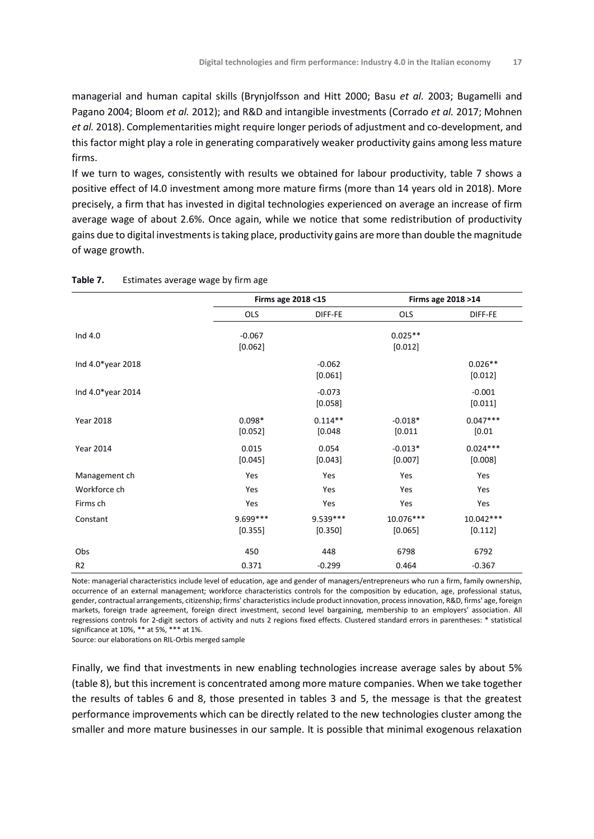managerial and human capital skills (Brynjolfsson and Hitt 2000; Basu *et al.* 2003; Bugamelli and Pagano 2004; Bloom *et al.* 2012); and R&D and intangible investments (Corrado *et al.* 2017; Mohnen *et al.* 2018). Complementarities might require longer periods of adjustment and co-development, and this factor might play a role in generating comparatively weaker productivity gains among less mature firms.

If we turn to wages, consistently with results we obtained for labour productivity, table 7 shows a positive effect of I4.0 investment among more mature firms (more than 14 years old in 2018). More precisely, a firm that has invested in digital technologies experienced on average an increase of firm average wage of about 2.6%. Once again, while we notice that some redistribution of productivity gains due to digital investments is taking place, productivity gains are more than double the magnitude of wage growth.

|                   |                     | Firms age 2018 <15    |                      | Firms age 2018 >14    |
|-------------------|---------------------|-----------------------|----------------------|-----------------------|
|                   | <b>OLS</b>          | DIFF-FE               | <b>OLS</b>           | DIFF-FE               |
| Ind 4.0           | $-0.067$<br>[0.062] |                       | $0.025**$<br>[0.012] |                       |
| Ind 4.0*year 2018 |                     | $-0.062$<br>[0.061]   |                      | $0.026**$<br>[0.012]  |
| Ind 4.0*year 2014 |                     | $-0.073$<br>[0.058]   |                      | $-0.001$<br>[0.011]   |
| <b>Year 2018</b>  | $0.098*$<br>[0.052] | $0.114**$<br>[0.048]  | $-0.018*$<br>[0.011] | $0.047***$<br>[0.01]  |
| <b>Year 2014</b>  | 0.015<br>[0.045]    | 0.054<br>[0.043]      | $-0.013*$<br>[0.007] | $0.024***$<br>[0.008] |
| Management ch     | Yes                 | Yes                   | Yes                  | Yes                   |
| Workforce ch      | Yes                 | Yes                   | Yes                  | Yes                   |
| Firms ch          | Yes                 | Yes                   | Yes                  | Yes                   |
| Constant          | 9.699***<br>[0.355] | $9.539***$<br>[0.350] | 10.076***<br>[0.065] | 10.042***<br>[0.112]  |
| Obs               | 450                 | 448                   | 6798                 | 6792                  |
| R <sub>2</sub>    | 0.371               | $-0.299$              | 0.464                | $-0.367$              |

Note: managerial characteristics include level of education, age and gender of managers/entrepreneurs who run a firm, family ownership, occurrence of an external management; workforce characteristics controls for the composition by education, age, professional status, gender, contractual arrangements, citizenship; firms' characteristics include product innovation, process innovation, R&D, firms' age, foreign markets, foreign trade agreement, foreign direct investment, second level bargaining, membership to an employers' association. All regressions controls for 2-digit sectors of activity and nuts 2 regions fixed effects. Clustered standard errors in parentheses: \* statistical significance at 10%, \*\* at 5%, \*\*\* at 1%.

Source: our elaborations on RIL-Orbis merged sample

Finally, we find that investments in new enabling technologies increase average sales by about 5% (table 8), but this increment is concentrated among more mature companies. When we take together the results of tables 6 and 8, those presented in tables 3 and 5, the message is that the greatest performance improvements which can be directly related to the new technologies cluster among the smaller and more mature businesses in our sample. It is possible that minimal exogenous relaxation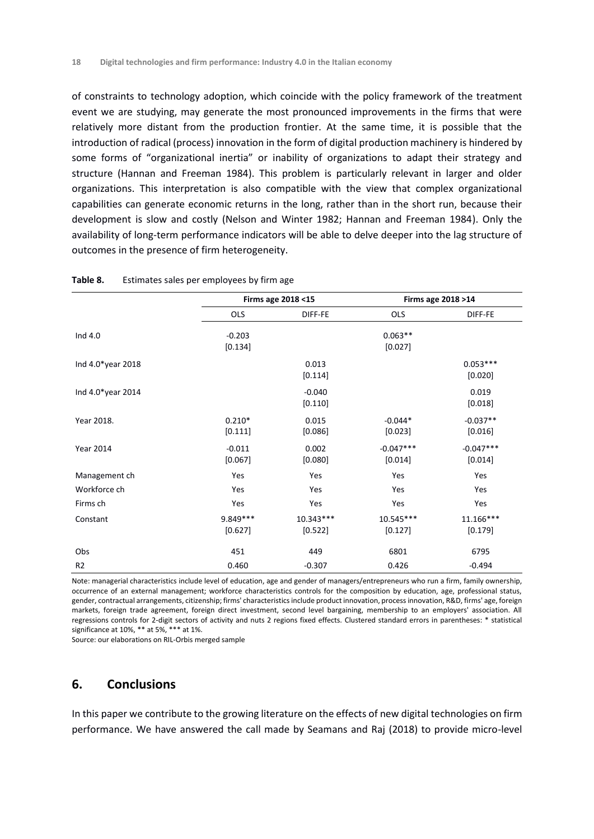of constraints to technology adoption, which coincide with the policy framework of the treatment event we are studying, may generate the most pronounced improvements in the firms that were relatively more distant from the production frontier. At the same time, it is possible that the introduction of radical (process) innovation in the form of digital production machinery is hindered by some forms of "organizational inertia" or inability of organizations to adapt their strategy and structure (Hannan and Freeman 1984). This problem is particularly relevant in larger and older organizations. This interpretation is also compatible with the view that complex organizational capabilities can generate economic returns in the long, rather than in the short run, because their development is slow and costly (Nelson and Winter 1982; Hannan and Freeman 1984). Only the availability of long-term performance indicators will be able to delve deeper into the lag structure of outcomes in the presence of firm heterogeneity.

|                   |                      | Firms age 2018 <15     |                        | Firms age 2018 >14     |
|-------------------|----------------------|------------------------|------------------------|------------------------|
|                   | <b>OLS</b>           | DIFF-FE                | <b>OLS</b>             | DIFF-FE                |
| Ind 4.0           | $-0.203$<br>[0.134]  |                        | $0.063**$<br>[0.027]   |                        |
| Ind 4.0*year 2018 |                      | 0.013<br>[0.114]       |                        | $0.053***$<br>[0.020]  |
| Ind 4.0*year 2014 |                      | $-0.040$<br>[0.110]    |                        | 0.019<br>[0.018]       |
| Year 2018.        | $0.210*$<br>[0.111]  | 0.015<br>[0.086]       | $-0.044*$<br>[0.023]   | $-0.037**$<br>[0.016]  |
| <b>Year 2014</b>  | $-0.011$<br>[0.067]  | 0.002<br>[0.080]       | $-0.047***$<br>[0.014] | $-0.047***$<br>[0.014] |
| Management ch     | Yes                  | Yes                    | Yes                    | Yes                    |
| Workforce ch      | Yes                  | Yes                    | Yes                    | Yes                    |
| Firms ch          | Yes                  | Yes                    | Yes                    | Yes                    |
| Constant          | 9.849 ***<br>[0.627] | $10.343***$<br>[0.522] | 10.545***<br>[0.127]   | $11.166***$<br>[0.179] |
| Obs               | 451                  | 449                    | 6801                   | 6795                   |
| R <sub>2</sub>    | 0.460                | $-0.307$               | 0.426                  | $-0.494$               |

| Table 8. |  |  | Estimates sales per employees by firm age |  |
|----------|--|--|-------------------------------------------|--|
|----------|--|--|-------------------------------------------|--|

Note: managerial characteristics include level of education, age and gender of managers/entrepreneurs who run a firm, family ownership, occurrence of an external management; workforce characteristics controls for the composition by education, age, professional status, gender, contractual arrangements, citizenship; firms' characteristics include product innovation, process innovation, R&D, firms' age, foreign markets, foreign trade agreement, foreign direct investment, second level bargaining, membership to an employers' association. All regressions controls for 2-digit sectors of activity and nuts 2 regions fixed effects. Clustered standard errors in parentheses: \* statistical significance at 10%, \*\* at 5%, \*\*\* at 1%.

Source: our elaborations on RIL-Orbis merged sample

## **6. Conclusions**

In this paper we contribute to the growing literature on the effects of new digital technologies on firm performance. We have answered the call made by Seamans and Raj (2018) to provide micro-level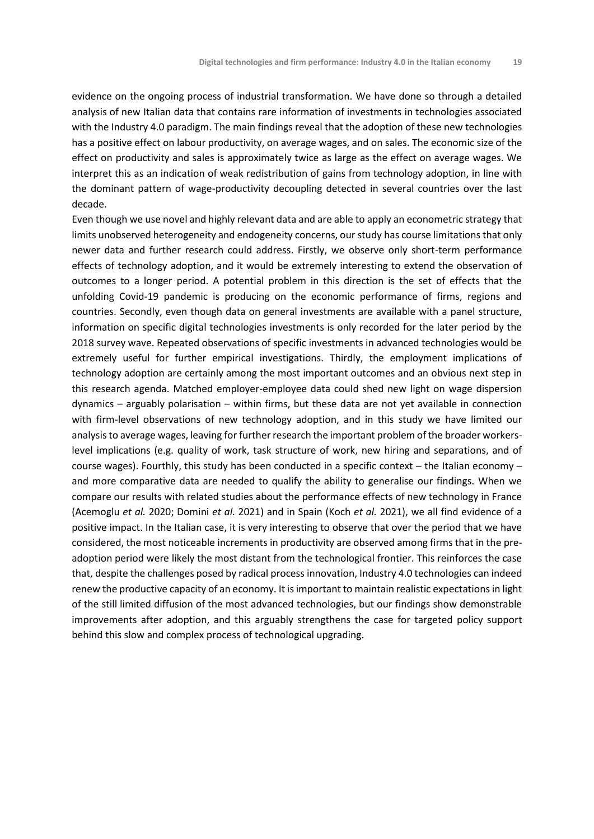evidence on the ongoing process of industrial transformation. We have done so through a detailed analysis of new Italian data that contains rare information of investments in technologies associated with the Industry 4.0 paradigm. The main findings reveal that the adoption of these new technologies has a positive effect on labour productivity, on average wages, and on sales. The economic size of the effect on productivity and sales is approximately twice as large as the effect on average wages. We interpret this as an indication of weak redistribution of gains from technology adoption, in line with the dominant pattern of wage-productivity decoupling detected in several countries over the last decade.

Even though we use novel and highly relevant data and are able to apply an econometric strategy that limits unobserved heterogeneity and endogeneity concerns, our study has course limitations that only newer data and further research could address. Firstly, we observe only short-term performance effects of technology adoption, and it would be extremely interesting to extend the observation of outcomes to a longer period. A potential problem in this direction is the set of effects that the unfolding Covid-19 pandemic is producing on the economic performance of firms, regions and countries. Secondly, even though data on general investments are available with a panel structure, information on specific digital technologies investments is only recorded for the later period by the 2018 survey wave. Repeated observations of specific investments in advanced technologies would be extremely useful for further empirical investigations. Thirdly, the employment implications of technology adoption are certainly among the most important outcomes and an obvious next step in this research agenda. Matched employer-employee data could shed new light on wage dispersion dynamics – arguably polarisation – within firms, but these data are not yet available in connection with firm-level observations of new technology adoption, and in this study we have limited our analysis to average wages, leaving for further research the important problem of the broader workerslevel implications (e.g. quality of work, task structure of work, new hiring and separations, and of course wages). Fourthly, this study has been conducted in a specific context – the Italian economy – and more comparative data are needed to qualify the ability to generalise our findings. When we compare our results with related studies about the performance effects of new technology in France (Acemoglu *et al.* 2020; Domini *et al.* 2021) and in Spain (Koch *et al.* 2021), we all find evidence of a positive impact. In the Italian case, it is very interesting to observe that over the period that we have considered, the most noticeable increments in productivity are observed among firms that in the preadoption period were likely the most distant from the technological frontier. This reinforces the case that, despite the challenges posed by radical process innovation, Industry 4.0 technologies can indeed renew the productive capacity of an economy. It is important to maintain realistic expectations in light of the still limited diffusion of the most advanced technologies, but our findings show demonstrable improvements after adoption, and this arguably strengthens the case for targeted policy support behind this slow and complex process of technological upgrading.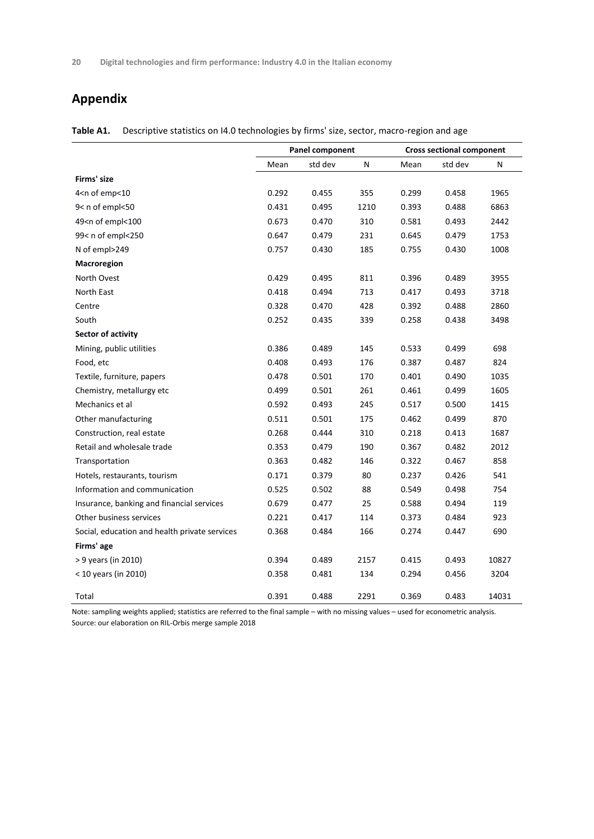## **Appendix**

|                                                                                                                      | Panel component |         |      | <b>Cross sectional component</b> |         |       |
|----------------------------------------------------------------------------------------------------------------------|-----------------|---------|------|----------------------------------|---------|-------|
|                                                                                                                      | Mean            | std dev | N    | Mean                             | std dev | N     |
| Firms' size                                                                                                          |                 |         |      |                                  |         |       |
| 4 <n emp<10<="" of="" td=""><td>0.292</td><td>0.455</td><td>355</td><td>0.299</td><td>0.458</td><td>1965</td></n>    | 0.292           | 0.455   | 355  | 0.299                            | 0.458   | 1965  |
| 9< n of empl<50                                                                                                      | 0.431           | 0.495   | 1210 | 0.393                            | 0.488   | 6863  |
| 49 <n empl<100<="" of="" td=""><td>0.673</td><td>0.470</td><td>310</td><td>0.581</td><td>0.493</td><td>2442</td></n> | 0.673           | 0.470   | 310  | 0.581                            | 0.493   | 2442  |
| 99< n of empl<250                                                                                                    | 0.647           | 0.479   | 231  | 0.645                            | 0.479   | 1753  |
| N of empl>249                                                                                                        | 0.757           | 0.430   | 185  | 0.755                            | 0.430   | 1008  |
| Macroregion                                                                                                          |                 |         |      |                                  |         |       |
| North Ovest                                                                                                          | 0.429           | 0.495   | 811  | 0.396                            | 0.489   | 3955  |
| North East                                                                                                           | 0.418           | 0.494   | 713  | 0.417                            | 0.493   | 3718  |
| Centre                                                                                                               | 0.328           | 0.470   | 428  | 0.392                            | 0.488   | 2860  |
| South                                                                                                                | 0.252           | 0.435   | 339  | 0.258                            | 0.438   | 3498  |
| Sector of activity                                                                                                   |                 |         |      |                                  |         |       |
| Mining, public utilities                                                                                             | 0.386           | 0.489   | 145  | 0.533                            | 0.499   | 698   |
| Food, etc                                                                                                            | 0.408           | 0.493   | 176  | 0.387                            | 0.487   | 824   |
| Textile, furniture, papers                                                                                           | 0.478           | 0.501   | 170  | 0.401                            | 0.490   | 1035  |
| Chemistry, metallurgy etc                                                                                            | 0.499           | 0.501   | 261  | 0.461                            | 0.499   | 1605  |
| Mechanics et al                                                                                                      | 0.592           | 0.493   | 245  | 0.517                            | 0.500   | 1415  |
| Other manufacturing                                                                                                  | 0.511           | 0.501   | 175  | 0.462                            | 0.499   | 870   |
| Construction, real estate                                                                                            | 0.268           | 0.444   | 310  | 0.218                            | 0.413   | 1687  |
| Retail and wholesale trade                                                                                           | 0.353           | 0.479   | 190  | 0.367                            | 0.482   | 2012  |
| Transportation                                                                                                       | 0.363           | 0.482   | 146  | 0.322                            | 0.467   | 858   |
| Hotels, restaurants, tourism                                                                                         | 0.171           | 0.379   | 80   | 0.237                            | 0.426   | 541   |
| Information and communication                                                                                        | 0.525           | 0.502   | 88   | 0.549                            | 0.498   | 754   |
| Insurance, banking and financial services                                                                            | 0.679           | 0.477   | 25   | 0.588                            | 0.494   | 119   |
| Other business services                                                                                              | 0.221           | 0.417   | 114  | 0.373                            | 0.484   | 923   |
| Social, education and health private services                                                                        | 0.368           | 0.484   | 166  | 0.274                            | 0.447   | 690   |
| Firms' age                                                                                                           |                 |         |      |                                  |         |       |
| > 9 years (in 2010)                                                                                                  | 0.394           | 0.489   | 2157 | 0.415                            | 0.493   | 10827 |
| $<$ 10 years (in 2010)                                                                                               | 0.358           | 0.481   | 134  | 0.294                            | 0.456   | 3204  |
| Total                                                                                                                | 0.391           | 0.488   | 2291 | 0.369                            | 0.483   | 14031 |

**Table A1.** Descriptive statistics on I4.0 technologies by firms' size, sector, macro-region and age

Note: sampling weights applied; statistics are referred to the final sample – with no missing values – used for econometric analysis. Source: our elaboration on RIL-Orbis merge sample 2018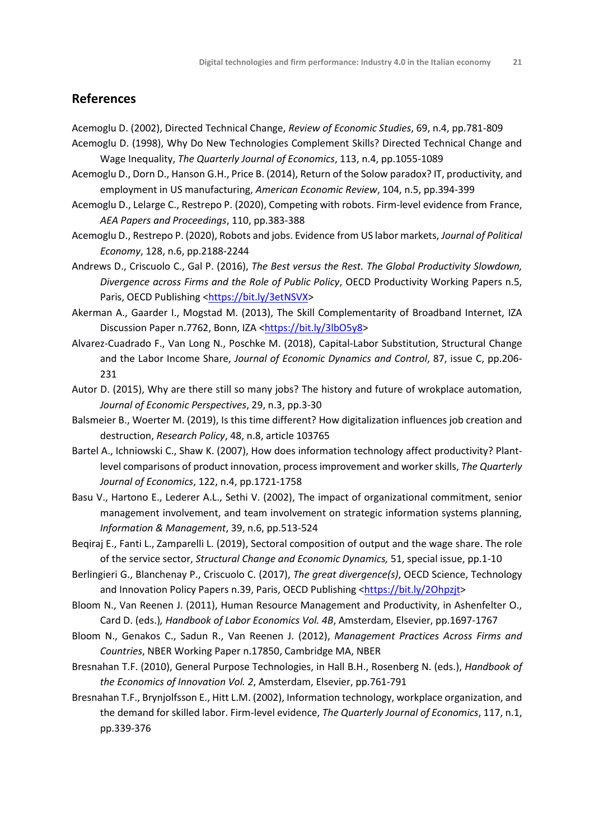## **References**

Acemoglu D. (2002), Directed Technical Change, *Review of Economic Studies*, 69, n.4, pp.781-809

- Acemoglu D. (1998), Why Do New Technologies Complement Skills? Directed Technical Change and Wage Inequality, *The Quarterly Journal of Economics*, 113, n.4, pp.1055-1089
- Acemoglu D., Dorn D., Hanson G.H., Price B. (2014), Return of the Solow paradox? IT, productivity, and employment in US manufacturing, *American Economic Review*, 104, n.5, pp.394-399
- Acemoglu D., Lelarge C., Restrepo P. (2020), Competing with robots. Firm-level evidence from France, *AEA Papers and Proceedings*, 110, pp.383-388
- Acemoglu D., Restrepo P. (2020), Robots and jobs. Evidence from US labor markets, *Journal of Political Economy*, 128, n.6, pp.2188-2244
- Andrews D., Criscuolo C., Gal P. (2016), *The Best versus the Rest. The Global Productivity Slowdown, Divergence across Firms and the Role of Public Policy*, OECD Productivity Working Papers n.5, Paris, OECD Publishing [<https://bit.ly/3etNSVX>](https://bit.ly/3etNSVX)
- Akerman A., Gaarder I., Mogstad M. (2013), The Skill Complementarity of Broadband Internet, IZA Discussion Paper n.7762, Bonn, IZA [<https://bit.ly/3lbO5y8>](https://bit.ly/3lbO5y8)
- Alvarez-Cuadrado F., Van Long N., Poschke M. (2018), Capital-Labor Substitution, Structural Change and the Labor Income Share, *Journal of Economic Dynamics and Control*, 87, issue C, pp.206- 231
- Autor D. (2015), Why are there still so many jobs? The history and future of wrokplace automation, *Journal of Economic Perspectives*, 29, n.3, pp.3-30
- Balsmeier B., Woerter M. (2019), Is this time different? How digitalization influences job creation and destruction, *Research Policy*, 48, n.8, article 103765
- Bartel A., Ichniowski C., Shaw K. (2007), How does information technology affect productivity? Plantlevel comparisons of product innovation, process improvement and worker skills, *The Quarterly Journal of Economics*, 122, n.4, pp.1721-1758
- Basu V., Hartono E., Lederer A.L., Sethi V. (2002), The impact of organizational commitment, senior management involvement, and team involvement on strategic information systems planning, *Information & Management*, 39, n.6, pp.513-524
- Beqiraj E., Fanti L., Zamparelli L. (2019), Sectoral composition of output and the wage share. The role of the service sector, *Structural Change and Economic Dynamics,* 51, special issue, pp.1-10
- Berlingieri G., Blanchenay P., Criscuolo C. (2017), *The great divergence(s)*, OECD Science, Technology and Innovation Policy Papers n.39, Paris, OECD Publishing [<https://bit.ly/2Ohpzjt>](https://bit.ly/2Ohpzjt)
- Bloom N., Van Reenen J. (2011), Human Resource Management and Productivity, in Ashenfelter O., Card D. (eds.)*, Handbook of Labor Economics Vol. 4B*, Amsterdam, Elsevier, pp.1697-1767
- Bloom N., Genakos C., Sadun R., Van Reenen J. (2012), *Management Practices Across Firms and Countries*, NBER Working Paper n.17850, Cambridge MA, NBER
- Bresnahan T.F. (2010), General Purpose Technologies, in Hall B.H., Rosenberg N. (eds.), *Handbook of the Economics of Innovation Vol. 2*, Amsterdam, Elsevier, pp.761-791
- Bresnahan T.F., Brynjolfsson E., Hitt L.M. (2002), Information technology, workplace organization, and the demand for skilled labor. Firm-level evidence, *The Quarterly Journal of Economics*, 117, n.1, pp.339-376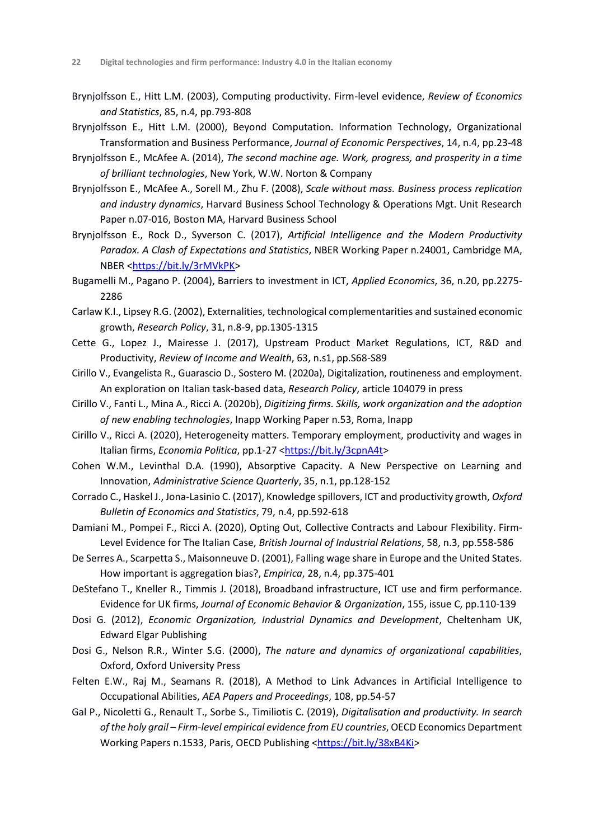- Brynjolfsson E., Hitt L.M. (2003), Computing productivity. Firm-level evidence, *Review of Economics and Statistics*, 85, n.4, pp.793-808
- Brynjolfsson E., Hitt L.M. (2000), Beyond Computation. Information Technology, Organizational Transformation and Business Performance, *Journal of Economic Perspectives*, 14, n.4, pp.23-48
- Brynjolfsson E., McAfee A. (2014), *The second machine age. Work, progress, and prosperity in a time of brilliant technologies*, New York, W.W. Norton & Company
- Brynjolfsson E., McAfee A., Sorell M., Zhu F. (2008), *Scale without mass. Business process replication and industry dynamics*, Harvard Business School Technology & Operations Mgt. Unit Research Paper n.07-016, Boston MA, Harvard Business School
- Brynjolfsson E., Rock D., Syverson C. (2017), *Artificial Intelligence and the Modern Productivity Paradox. A Clash of Expectations and Statistics*, NBER Working Paper n.24001, Cambridge MA, NBER [<https://bit.ly/3rMVkPK>](https://bit.ly/3rMVkPK)
- Bugamelli M., Pagano P. (2004), Barriers to investment in ICT, *Applied Economics*, 36, n.20, pp.2275- 2286
- Carlaw K.I., Lipsey R.G. (2002), Externalities, technological complementarities and sustained economic growth, *Research Policy*, 31, n.8-9, pp.1305-1315
- Cette G., Lopez J., Mairesse J. (2017), Upstream Product Market Regulations, ICT, R&D and Productivity, *Review of Income and Wealth*, 63, n.s1, pp.S68-S89
- Cirillo V., Evangelista R., Guarascio D., Sostero M. (2020a), Digitalization, routineness and employment. An exploration on Italian task-based data, *Research Policy*, article 104079 in press
- Cirillo V., Fanti L., Mina A., Ricci A. (2020b), *Digitizing firms. Skills, work organization and the adoption of new enabling technologies*, Inapp Working Paper n.53, Roma, Inapp
- Cirillo V., Ricci A. (2020), Heterogeneity matters. Temporary employment, productivity and wages in Italian firms, *Economia Politica*, pp.1-27 [<https://bit.ly/3cpnA4t>](https://bit.ly/3cpnA4t)
- Cohen W.M., Levinthal D.A. (1990), Absorptive Capacity. A New Perspective on Learning and Innovation, *Administrative Science Quarterly*, 35, n.1, pp.128-152
- Corrado C., Haskel J., Jona-Lasinio C. (2017), Knowledge spillovers, ICT and productivity growth, *Oxford Bulletin of Economics and Statistics*, 79, n.4, pp.592-618
- Damiani M., Pompei F., Ricci A. (2020), Opting Out, Collective Contracts and Labour Flexibility. Firm‐ Level Evidence for The Italian Case, *British Journal of Industrial Relations*, 58, n.3, pp.558-586
- De Serres A., Scarpetta S., Maisonneuve D. (2001), Falling wage share in Europe and the United States. How important is aggregation bias?, *Empirica*, 28, n.4, pp.375-401
- DeStefano T., Kneller R., Timmis J. (2018), Broadband infrastructure, ICT use and firm performance. Evidence for UK firms, *Journal of Economic Behavior & Organization*, 155, issue C, pp.110-139
- Dosi G. (2012), *Economic Organization, Industrial Dynamics and Development*, Cheltenham UK, Edward Elgar Publishing
- Dosi G., Nelson R.R., Winter S.G. (2000), *The nature and dynamics of organizational capabilities*, Oxford, Oxford University Press
- Felten E.W., Raj M., Seamans R. (2018), A Method to Link Advances in Artificial Intelligence to Occupational Abilities, *AEA Papers and Proceedings*, 108, pp.54-57
- Gal P., Nicoletti G., Renault T., Sorbe S., Timiliotis C. (2019), *Digitalisation and productivity. In search of the holy grail – Firm-level empirical evidence from EU countries*, OECD Economics Department Working Papers n.1533, Paris, OECD Publishing [<https://bit.ly/38xB4Ki>](https://bit.ly/38xB4Ki)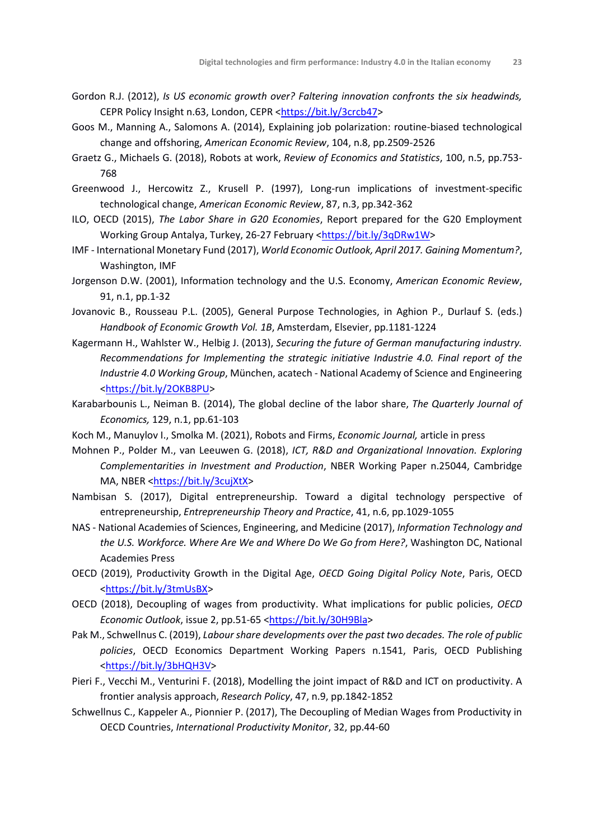- Gordon R.J. (2012), *Is US economic growth over? Faltering innovation confronts the six headwinds,*  CEPR Policy Insight n.63, London, CEPR [<https://bit.ly/3crcb47>](https://bit.ly/3crcb47)
- Goos M., Manning A., Salomons A. (2014), Explaining job polarization: routine-biased technological change and offshoring, *American Economic Review*, 104, n.8, pp.2509-2526
- Graetz G., Michaels G. (2018), Robots at work, *Review of Economics and Statistics*, 100, n.5, pp.753- 768
- Greenwood J., Hercowitz Z., Krusell P. (1997), Long-run implications of investment-specific technological change, *American Economic Review*, 87, n.3, pp.342-362
- ILO, OECD (2015), *The Labor Share in G20 Economies*, Report prepared for the G20 Employment Working Group Antalya, Turkey, 26-27 February [<https://bit.ly/3qDRw1W>](https://bit.ly/3qDRw1W)
- IMF International Monetary Fund (2017), *World Economic Outlook, April 2017. Gaining Momentum?*, Washington, IMF
- Jorgenson D.W. (2001), Information technology and the U.S. Economy, *American Economic Review*, 91, n.1, pp.1-32
- Jovanovic B., Rousseau P.L. (2005), General Purpose Technologies, in Aghion P., Durlauf S. (eds.) *Handbook of Economic Growth Vol. 1B*, Amsterdam, Elsevier, pp.1181-1224
- Kagermann H., Wahlster W., Helbig J. (2013), *Securing the future of German manufacturing industry. Recommendations for Implementing the strategic initiative Industrie 4.0. Final report of the Industrie 4.0 Working Group*, München, acatech - National Academy of Science and Engineering [<https://bit.ly/2OKB8PU>](https://bit.ly/2OKB8PU)
- Karabarbounis L., Neiman B. (2014), The global decline of the labor share, *The Quarterly Journal of Economics,* 129, n.1, pp.61-103
- Koch M., Manuylov I., Smolka M. (2021), Robots and Firms, *Economic Journal,* article in press
- Mohnen P., Polder M., van Leeuwen G. (2018), *ICT, R&D and Organizational Innovation. Exploring Complementarities in Investment and Production*, NBER Working Paper n.25044, Cambridge MA, NBER [<https://bit.ly/3cujXtX>](https://bit.ly/3cujXtX)
- Nambisan S. (2017), Digital entrepreneurship. Toward a digital technology perspective of entrepreneurship, *Entrepreneurship Theory and Practice*, 41, n.6, pp.1029-1055
- NAS National Academies of Sciences, Engineering, and Medicine (2017), *Information Technology and the U.S. Workforce. Where Are We and Where Do We Go from Here?*, Washington DC, National Academies Press
- OECD (2019), Productivity Growth in the Digital Age, *OECD Going Digital Policy Note*, Paris, OECD [<https://bit.ly/3tmUsBX>](https://bit.ly/3tmUsBX)
- OECD (2018), Decoupling of wages from productivity. What implications for public policies, *OECD Economic Outlook*, issue 2, pp.51-65 [<https://bit.ly/30H9Bla>](https://bit.ly/30H9Bla)
- Pak M., Schwellnus C. (2019), *Labour share developments over the past two decades. The role of public policies*, OECD Economics Department Working Papers n.1541, Paris, OECD Publishing [<https://bit.ly/3bHQH3V>](https://bit.ly/3bHQH3V)
- Pieri F., Vecchi M., Venturini F. (2018), Modelling the joint impact of R&D and ICT on productivity. A frontier analysis approach, *Research Policy*, 47, n.9, pp.1842-1852
- Schwellnus C., Kappeler A., Pionnier P. (2017), The Decoupling of Median Wages from Productivity in OECD Countries, *International Productivity Monitor*, 32, pp.44-60